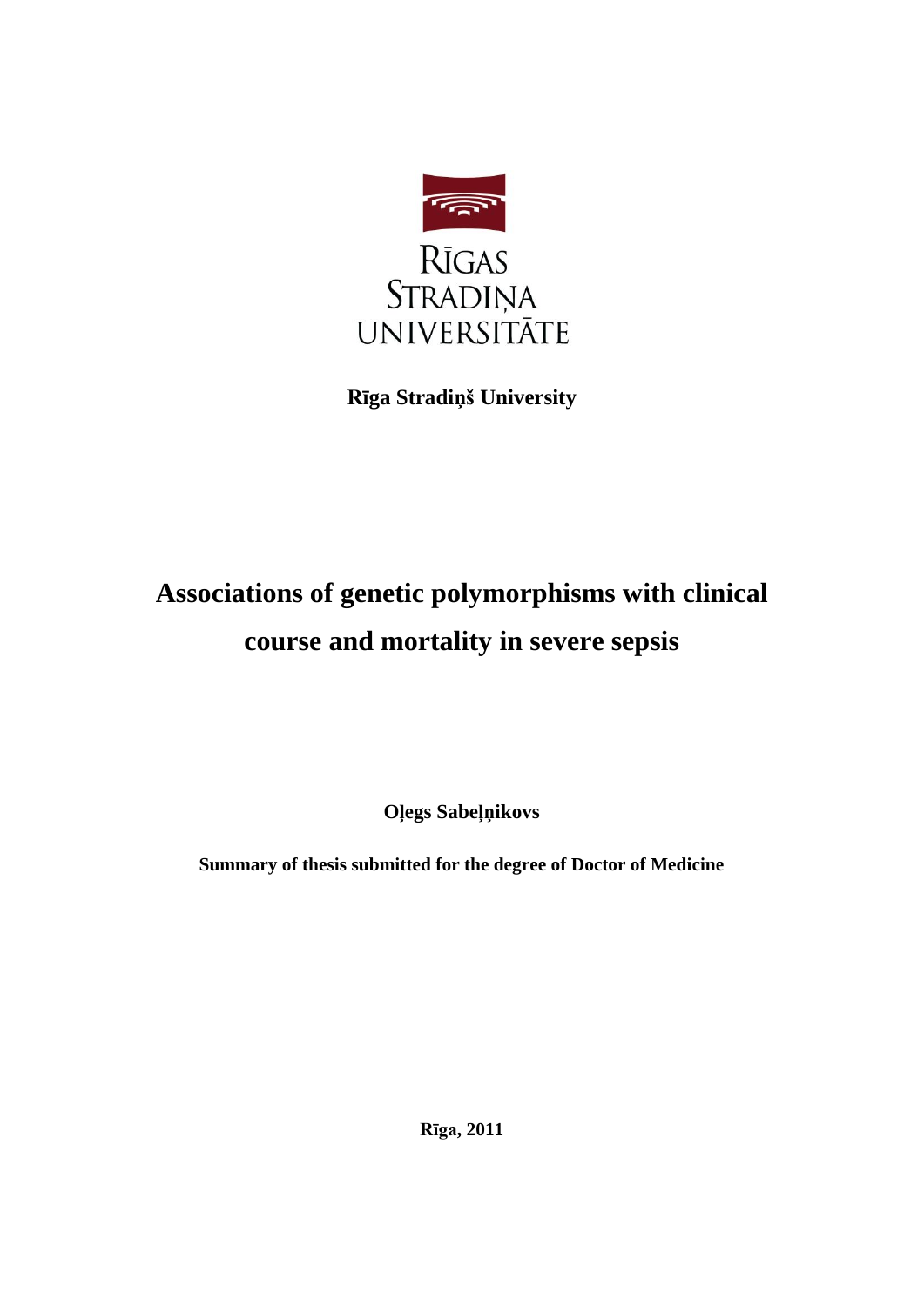

**Rīga Stradiņš University**

# **Associations of genetic polymorphisms with clinical course and mortality in severe sepsis**

**Oļegs Sabeļņikovs**

**Summary of thesis submitted for the degree of Doctor of Medicine**

**Rīga, 2011**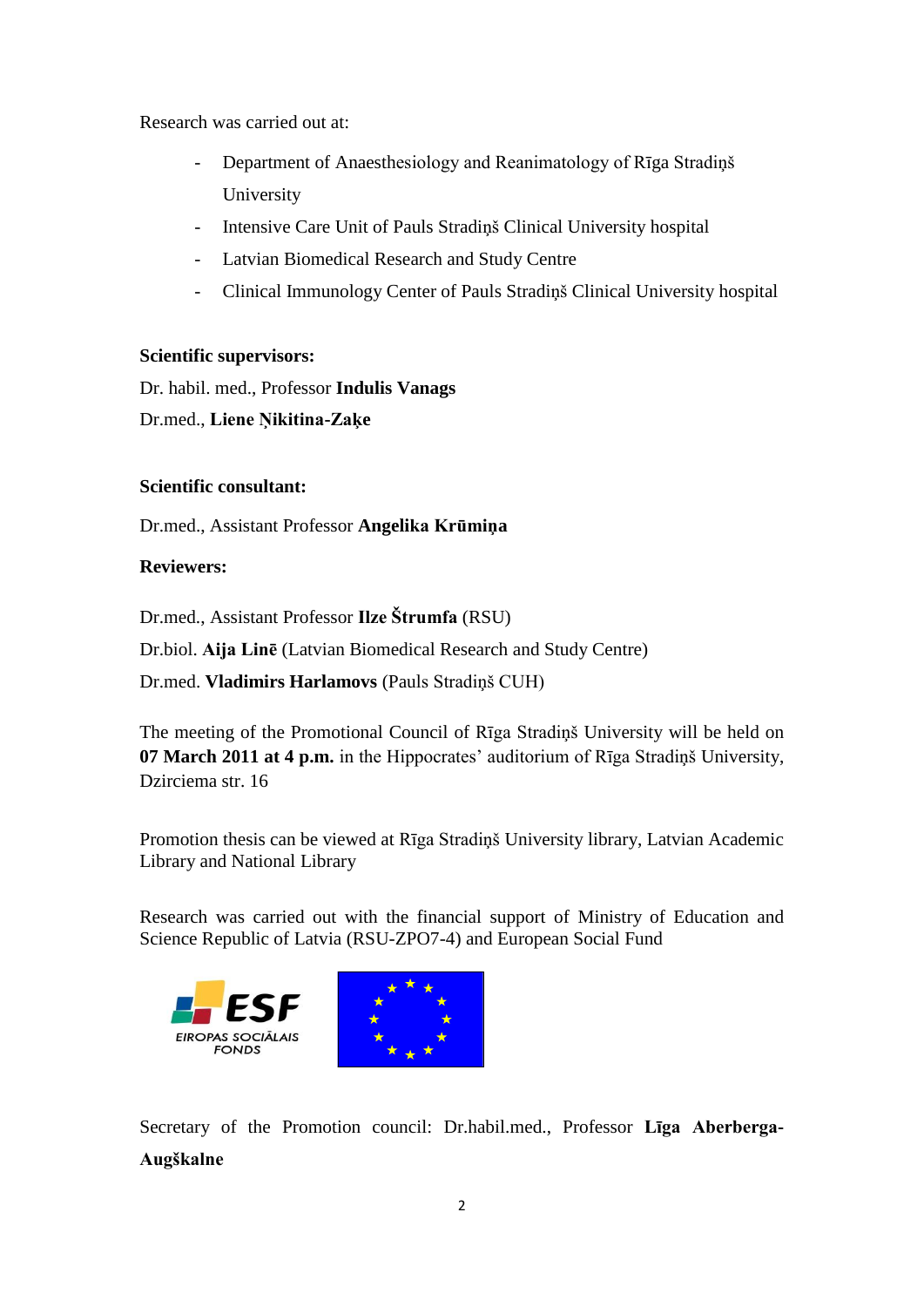Research was carried out at:

- Department of Anaesthesiology and Reanimatology of Rīga Stradiņš University
- Intensive Care Unit of Pauls Stradiņš Clinical University hospital
- Latvian Biomedical Research and Study Centre
- Clinical Immunology Center of Pauls Stradiņš Clinical University hospital

# **Scientific supervisors:**

Dr. habil. med., Professor **Indulis Vanags**

Dr.med., **Liene Ņikitina-Zaķe**

# **Scientific consultant:**

Dr.med., Assistant Professor **Angelika Krūmiņa**

# **Reviewers:**

Dr.med., Assistant Professor **Ilze Štrumfa** (RSU)

Dr.biol. **Aija Linē** (Latvian Biomedical Research and Study Centre)

Dr.med. **Vladimirs Harlamovs** (Pauls Stradiņš CUH)

The meeting of the Promotional Council of Rīga Stradiņš University will be held on **07 March 2011 at 4 p.m.** in the Hippocrates' auditorium of Rīga Stradiņš University, Dzirciema str. 16

Promotion thesis can be viewed at Rīga Stradiņš University library, Latvian Academic Library and National Library

Research was carried out with the financial support of Ministry of Education and Science Republic of Latvia (RSU-ZPO7-4) and European Social Fund



Secretary of the Promotion council: Dr.habil.med., Professor **Līga Aberberga-Augškalne**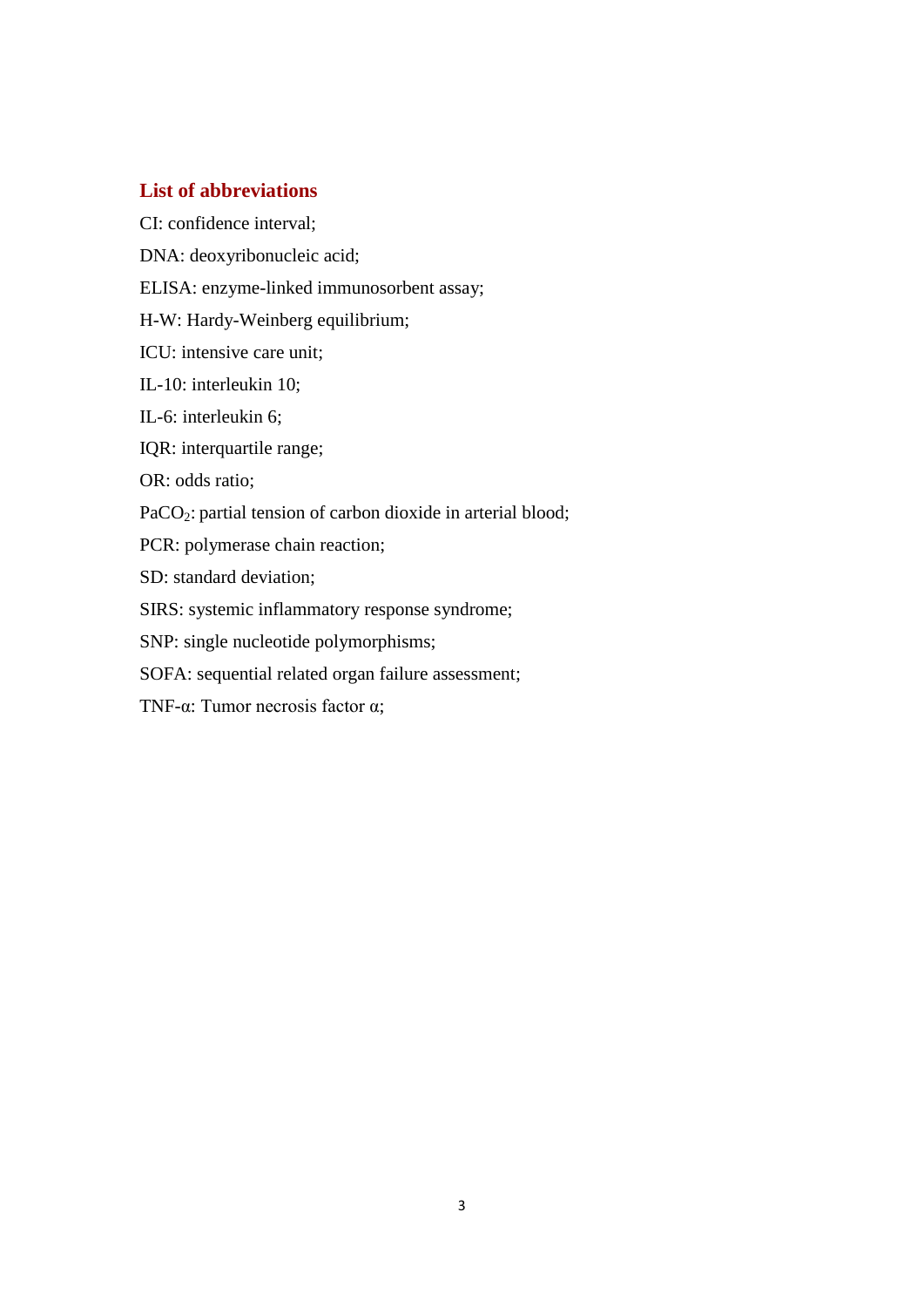# **List of abbreviations**

CI: confidence interval;

DNA: deoxyribonucleic acid;

ELISA: enzyme-linked immunosorbent assay;

H-W: Hardy-Weinberg equilibrium;

ICU: intensive care unit;

IL-10: interleukin 10;

IL-6: interleukin 6;

IQR: interquartile range;

OR: odds ratio;

PaCO<sub>2</sub>: partial tension of carbon dioxide in arterial blood;

PCR: polymerase chain reaction;

SD: standard deviation;

SIRS: systemic inflammatory response syndrome;

SNP: single nucleotide polymorphisms;

SOFA: sequential related organ failure assessment;

TNF-α: Tumor necrosis factor α;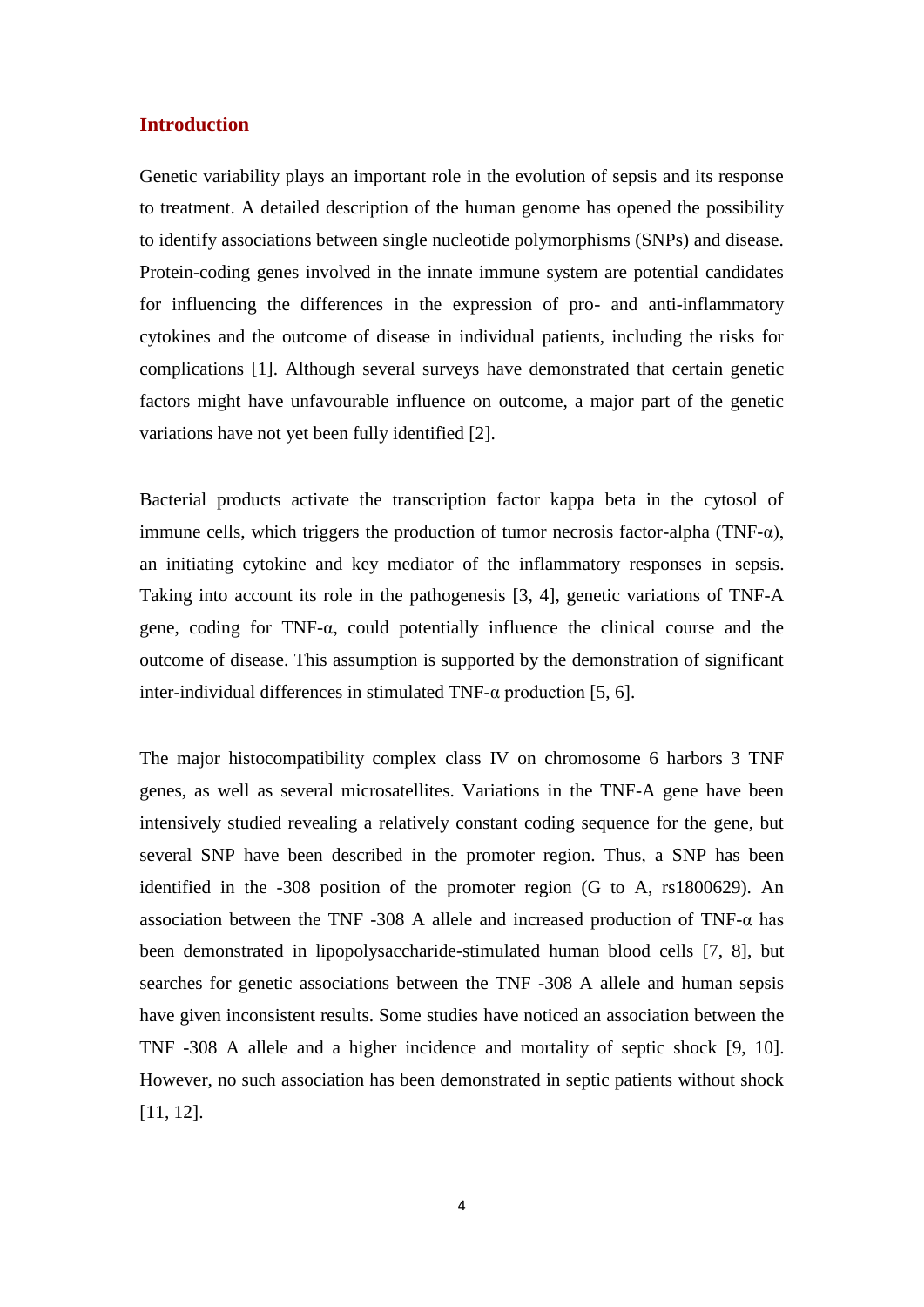## **Introduction**

Genetic variability plays an important role in the evolution of sepsis and its response to treatment. A detailed description of the human genome has opened the possibility to identify associations between single nucleotide polymorphisms (SNPs) and disease. Protein-coding genes involved in the innate immune system are potential candidates for influencing the differences in the expression of pro- and anti-inflammatory cytokines and the outcome of disease in individual patients, including the risks for complications [1]. Although several surveys have demonstrated that certain genetic factors might have unfavourable influence on outcome, a major part of the genetic variations have not yet been fully identified [2].

Bacterial products activate the transcription factor kappa beta in the cytosol of immune cells, which triggers the production of tumor necrosis factor-alpha (TNF- $\alpha$ ), an initiating cytokine and key mediator of the inflammatory responses in sepsis. Taking into account its role in the pathogenesis [3, 4], genetic variations of TNF-A gene, coding for TNF-α, could potentially influence the clinical course and the outcome of disease. This assumption is supported by the demonstration of significant inter-individual differences in stimulated TNF- $\alpha$  production [5, 6].

The major histocompatibility complex class IV on chromosome 6 harbors 3 TNF genes, as well as several microsatellites. Variations in the TNF-A gene have been intensively studied revealing a relatively constant coding sequence for the gene, but several SNP have been described in the promoter region. Thus, a SNP has been identified in the -308 position of the promoter region (G to A, rs1800629). An association between the TNF -308 A allele and increased production of TNF- $\alpha$  has been demonstrated in lipopolysaccharide-stimulated human blood cells [7, 8], but searches for genetic associations between the TNF -308 A allele and human sepsis have given inconsistent results. Some studies have noticed an association between the TNF -308 A allele and a higher incidence and mortality of septic shock [9, 10]. However, no such association has been demonstrated in septic patients without shock [11, 12].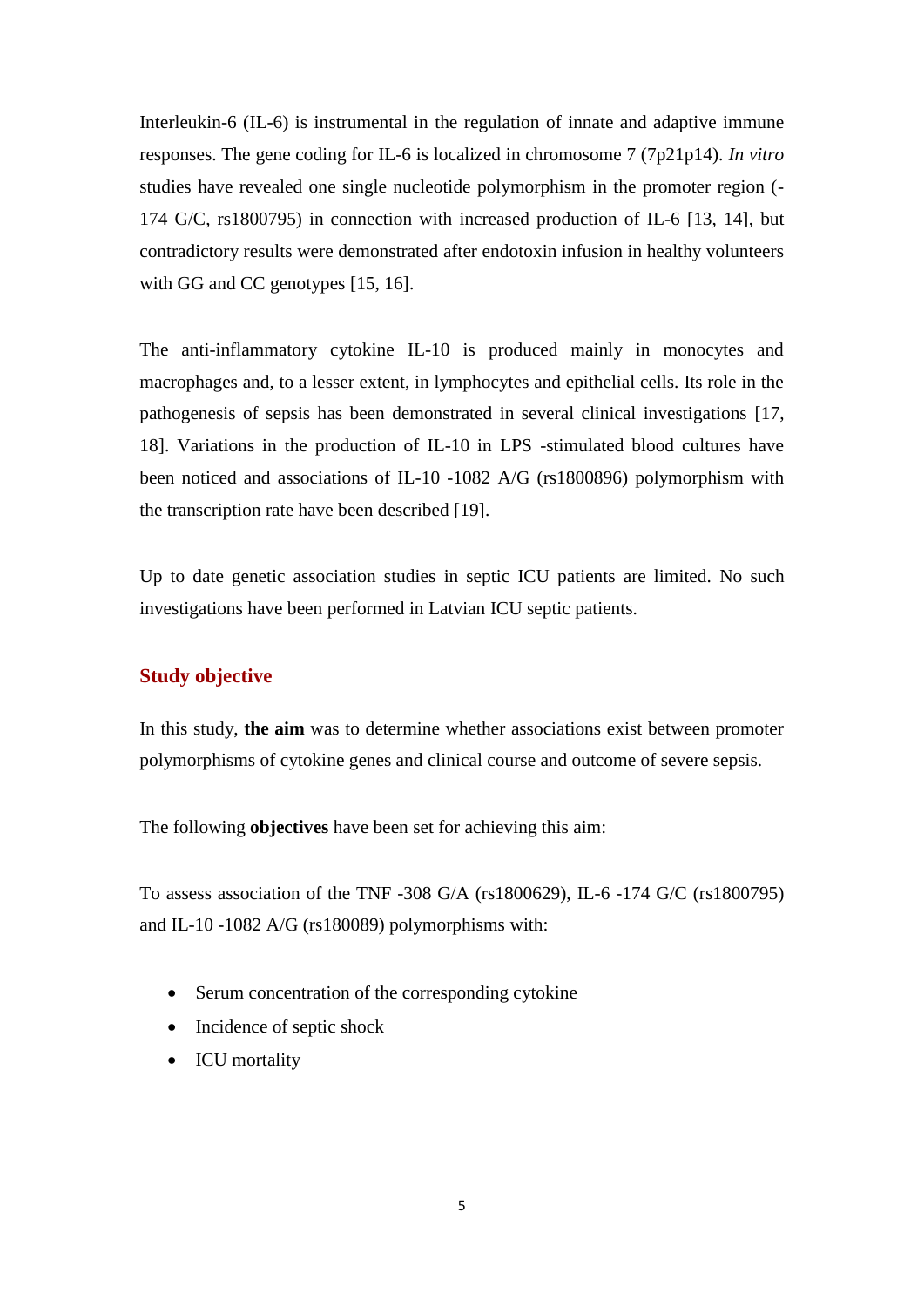Interleukin-6 (IL-6) is instrumental in the regulation of innate and adaptive immune responses. The gene coding for IL-6 is localized in chromosome 7 (7p21p14). *In vitro* studies have revealed one single nucleotide polymorphism in the promoter region (- 174 G/C, rs1800795) in connection with increased production of IL-6 [13, 14], but contradictory results were demonstrated after endotoxin infusion in healthy volunteers with GG and CC genotypes [15, 16].

The anti-inflammatory cytokine IL-10 is produced mainly in monocytes and macrophages and, to a lesser extent, in lymphocytes and epithelial cells. Its role in the pathogenesis of sepsis has been demonstrated in several clinical investigations [17, 18]. Variations in the production of IL-10 in LPS -stimulated blood cultures have been noticed and associations of IL-10 -1082 A/G (rs1800896) polymorphism with the transcription rate have been described [19].

Up to date genetic association studies in septic ICU patients are limited. No such investigations have been performed in Latvian ICU septic patients.

## **Study objective**

In this study, **the aim** was to determine whether associations exist between promoter polymorphisms of cytokine genes and clinical course and outcome of severe sepsis.

The following **objectives** have been set for achieving this aim:

To assess association of the TNF -308 G/A (rs1800629), IL-6 -174 G/C (rs1800795) and IL-10 -1082 A/G (rs180089) polymorphisms with:

- Serum concentration of the corresponding cytokine
- Incidence of septic shock
- ICU mortality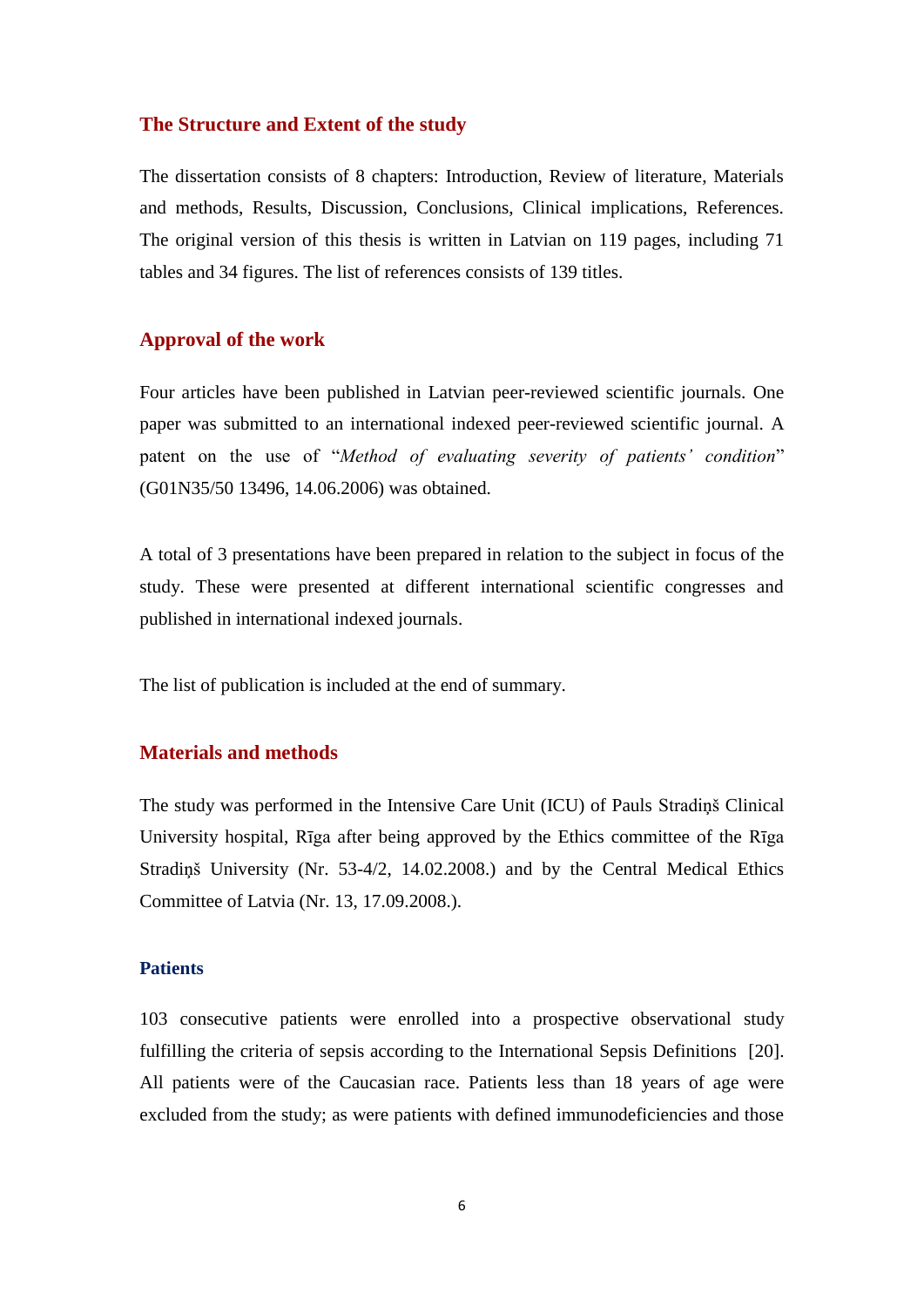#### **The Structure and Extent of the study**

The dissertation consists of 8 chapters: Introduction, Review of literature, Materials and methods, Results, Discussion, Conclusions, Clinical implications, References. The original version of this thesis is written in Latvian on 119 pages, including 71 tables and 34 figures. The list of references consists of 139 titles.

### **Approval of the work**

Four articles have been published in Latvian peer-reviewed scientific journals. One paper was submitted to an international indexed peer-reviewed scientific journal. A patent on the use of "*Method of evaluating severity of patients' condition*" (G01N35/50 13496, 14.06.2006) was obtained.

A total of 3 presentations have been prepared in relation to the subject in focus of the study. These were presented at different international scientific congresses and published in international indexed journals.

The list of publication is included at the end of summary.

# **Materials and methods**

The study was performed in the Intensive Care Unit (ICU) of Pauls Stradiņš Clinical University hospital, Rīga after being approved by the Ethics committee of the Rīga Stradiņš University (Nr. 53-4/2, 14.02.2008.) and by the Central Medical Ethics Committee of Latvia (Nr. 13, 17.09.2008.).

### **Patients**

103 consecutive patients were enrolled into a prospective observational study fulfilling the criteria of sepsis according to the International Sepsis Definitions [20]. All patients were of the Caucasian race. Patients less than 18 years of age were excluded from the study; as were patients with defined immunodeficiencies and those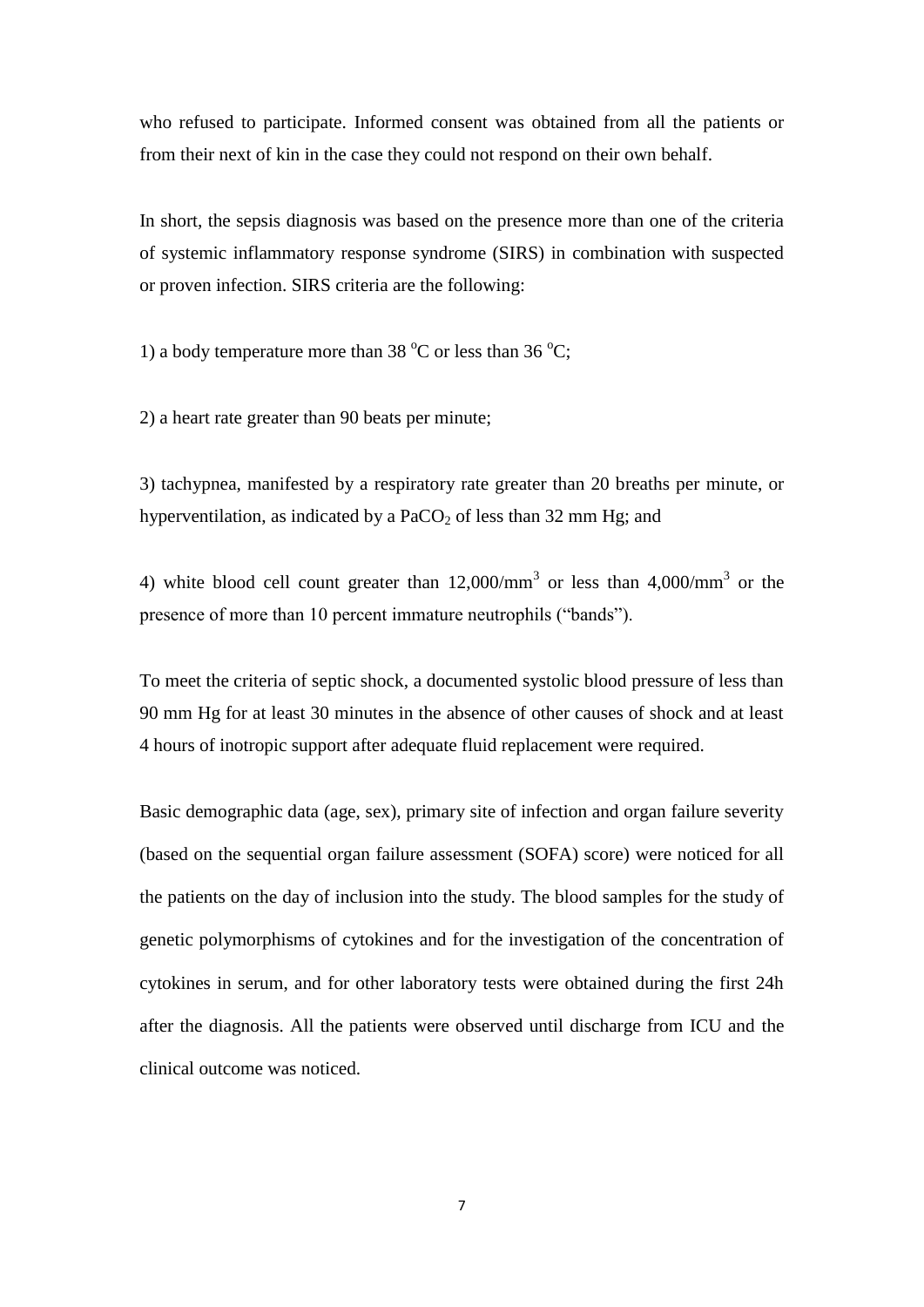who refused to participate. Informed consent was obtained from all the patients or from their next of kin in the case they could not respond on their own behalf.

In short, the sepsis diagnosis was based on the presence more than one of the criteria of systemic inflammatory response syndrome (SIRS) in combination with suspected or proven infection. SIRS criteria are the following:

1) a body temperature more than 38  $^{\circ}$ C or less than 36  $^{\circ}$ C:

2) a heart rate greater than 90 beats per minute;

3) tachypnea, manifested by a respiratory rate greater than 20 breaths per minute, or hyperventilation, as indicated by a  $PaCO<sub>2</sub>$  of less than 32 mm Hg; and

4) white blood cell count greater than  $12,000/\text{mm}^3$  or less than  $4,000/\text{mm}^3$  or the presence of more than 10 percent immature neutrophils ("bands").

To meet the criteria of septic shock, a documented systolic blood pressure of less than 90 mm Hg for at least 30 minutes in the absence of other causes of shock and at least 4 hours of inotropic support after adequate fluid replacement were required.

Basic demographic data (age, sex), primary site of infection and organ failure severity (based on the sequential organ failure assessment (SOFA) score) were noticed for all the patients on the day of inclusion into the study. The blood samples for the study of genetic polymorphisms of cytokines and for the investigation of the concentration of cytokines in serum, and for other laboratory tests were obtained during the first 24h after the diagnosis. All the patients were observed until discharge from ICU and the clinical outcome was noticed.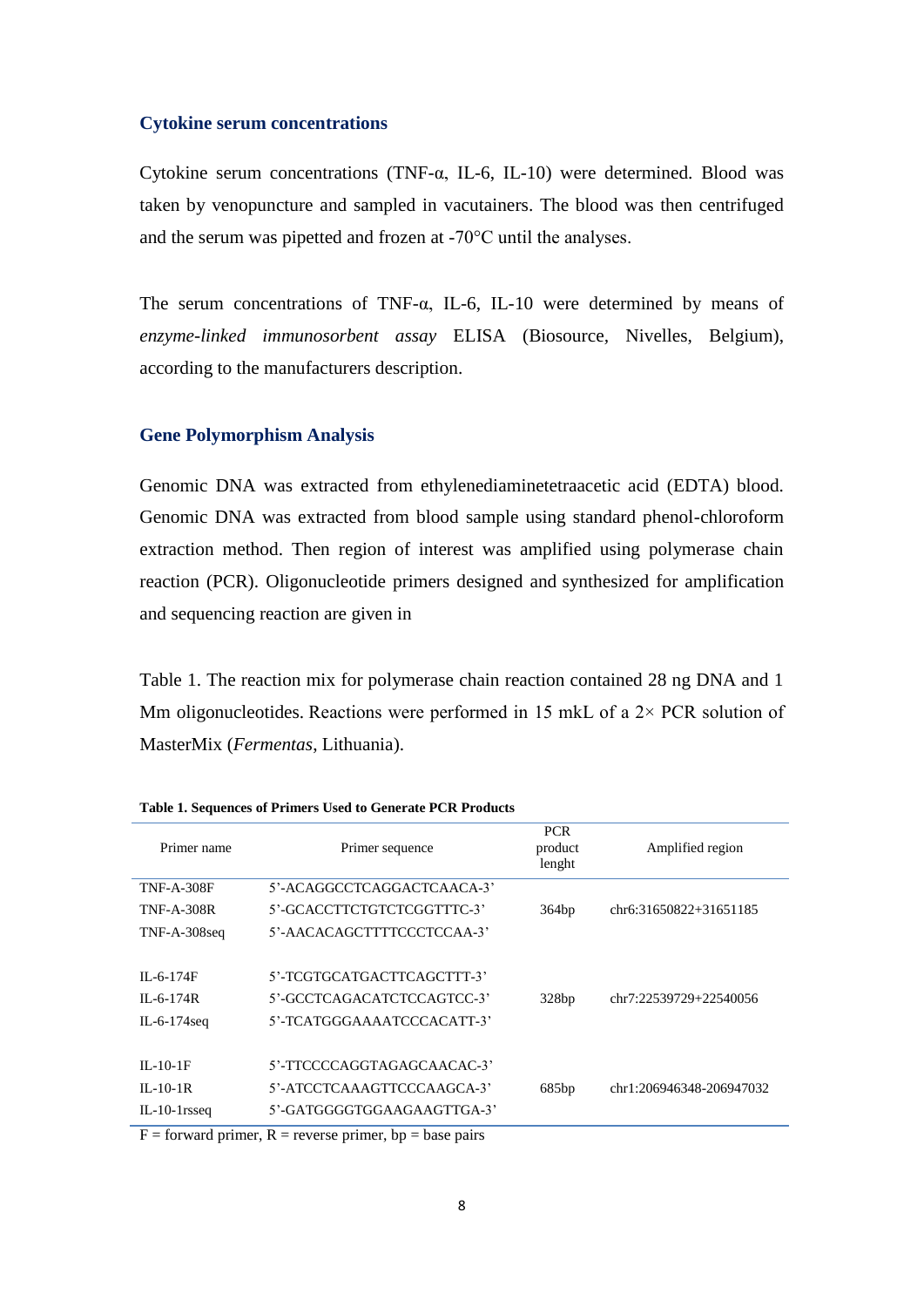#### **Cytokine serum concentrations**

Cytokine serum concentrations (TNF-α, IL-6, IL-10) were determined. Blood was taken by venopuncture and sampled in vacutainers. The blood was then centrifuged and the serum was pipetted and frozen at -70°C until the analyses.

The serum concentrations of TNF- $\alpha$ , IL-6, IL-10 were determined by means of *enzyme-linked immunosorbent assay* ELISA (Biosource*,* Nivelles, Belgium), according to the manufacturers description.

#### **Gene Polymorphism Analysis**

Genomic DNA was extracted from ethylenediaminetetraacetic acid (EDTA) blood. Genomic DNA was extracted from blood sample using standard phenol-chloroform extraction method. Then region of interest was amplified using polymerase chain reaction (PCR). Oligonucleotide primers designed and synthesized for amplification and sequencing reaction are given in

<span id="page-7-0"></span>[Table 1.](#page-7-0) The reaction mix for polymerase chain reaction contained 28 ng DNA and 1 Mm oligonucleotides. Reactions were performed in 15 mkL of a  $2 \times PCR$  solution of MasterMix (*Fermentas*, Lithuania).

| Primer name<br>Primer sequence |                                                                                                                                                                                                                                               | <b>PCR</b><br>product<br>lenght | Amplified region         |
|--------------------------------|-----------------------------------------------------------------------------------------------------------------------------------------------------------------------------------------------------------------------------------------------|---------------------------------|--------------------------|
| <b>TNF-A-308F</b>              | 5'-ACAGGCCTCAGGACTCAACA-3'                                                                                                                                                                                                                    |                                 |                          |
| <b>TNF-A-308R</b>              | 5'-GCACCTTCTGTCTCGGTTTC-3'                                                                                                                                                                                                                    | 364bp                           | chr6:31650822+31651185   |
| TNF-A-308seq                   | 5'-AACACAGCTTTTCCCTCCAA-3'                                                                                                                                                                                                                    |                                 |                          |
|                                |                                                                                                                                                                                                                                               |                                 |                          |
| $IL-6-174F$                    | 5'-TCGTGCATGACTTCAGCTTT-3'                                                                                                                                                                                                                    |                                 |                          |
| $IL - 6 - 174R$                | 5'-GCCTCAGACATCTCCAGTCC-3'                                                                                                                                                                                                                    | 328bp                           | chr7:22539729+22540056   |
| IL-6-174 $seq$                 | 5'-TCATGGGAAAATCCCACATT-3'                                                                                                                                                                                                                    |                                 |                          |
|                                |                                                                                                                                                                                                                                               |                                 |                          |
| $IL-10-1F$                     | 5'-TTCCCCAGGTAGAGCAACAC-3'                                                                                                                                                                                                                    |                                 |                          |
| $IL-10-1R$                     | 5'-ATCCTCAAAGTTCCCAAGCA-3'                                                                                                                                                                                                                    | 685bp                           | chr1:206946348-206947032 |
| $IL-10-1$ rsseq                | 5'-GATGGGGTGGAAGAAGTTGA-3'                                                                                                                                                                                                                    |                                 |                          |
|                                | $\n  F$ . Consider the interest $\mathbf{D}$ is accounted in the contract of the contract of $\mathbf{D}$ is a set of the contract of $\mathbf{D}$ is a set of the contract of $\mathbf{D}$ is a set of the contract of $\mathbf{D}$ is a set |                                 |                          |

| Table 1. Sequences of Primers Used to Generate PCR Products |  |  |
|-------------------------------------------------------------|--|--|
|-------------------------------------------------------------|--|--|

 $F =$  forward primer,  $R =$  reverse primer, bp = base pairs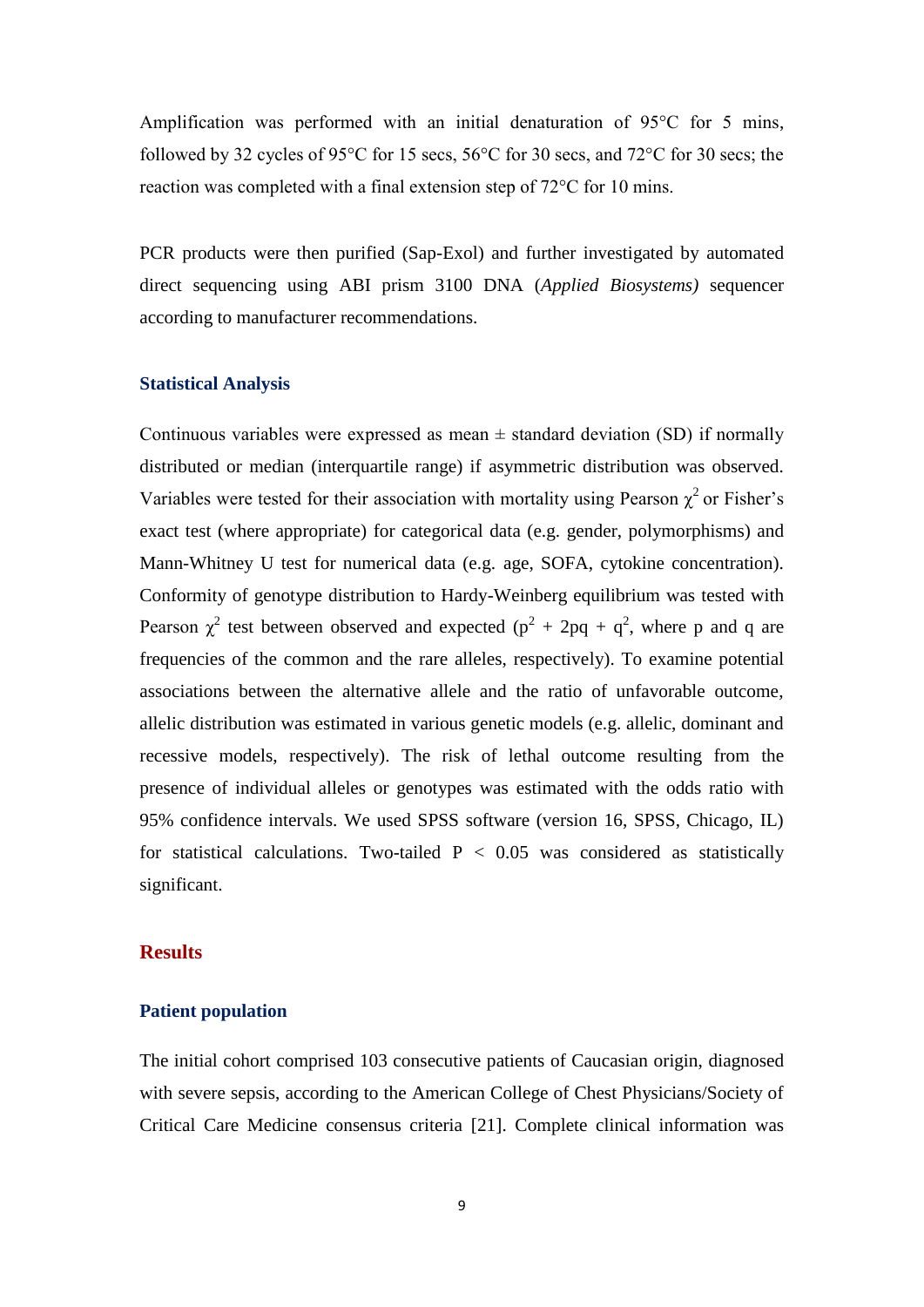Amplification was performed with an initial denaturation of 95°C for 5 mins, followed by 32 cycles of 95°C for 15 secs, 56°C for 30 secs, and 72°C for 30 secs; the reaction was completed with a final extension step of 72°C for 10 mins.

PCR products were then purified (Sap-Exol) and further investigated by automated direct sequencing using ABI prism 3100 DNA (*Applied Biosystems)* sequencer according to manufacturer recommendations.

### **Statistical Analysis**

Continuous variables were expressed as mean  $\pm$  standard deviation (SD) if normally distributed or median (interquartile range) if asymmetric distribution was observed. Variables were tested for their association with mortality using Pearson  $\chi^2$  or Fisher's exact test (where appropriate) for categorical data (e.g. gender, polymorphisms) and Mann-Whitney U test for numerical data (e.g. age, SOFA, cytokine concentration). Conformity of genotype distribution to Hardy-Weinberg equilibrium was tested with Pearson  $\chi^2$  test between observed and expected ( $p^2 + 2pq + q^2$ , where p and q are frequencies of the common and the rare alleles, respectively). To examine potential associations between the alternative allele and the ratio of unfavorable outcome, allelic distribution was estimated in various genetic models (e.g. allelic, dominant and recessive models, respectively). The risk of lethal outcome resulting from the presence of individual alleles or genotypes was estimated with the odds ratio with 95% confidence intervals. We used SPSS software (version 16, SPSS, Chicago, IL) for statistical calculations. Two-tailed  $P < 0.05$  was considered as statistically significant.

## **Results**

## **Patient population**

The initial cohort comprised 103 consecutive patients of Caucasian origin, diagnosed with severe sepsis, according to the American College of Chest Physicians/Society of Critical Care Medicine consensus criteria [21]. Complete clinical information was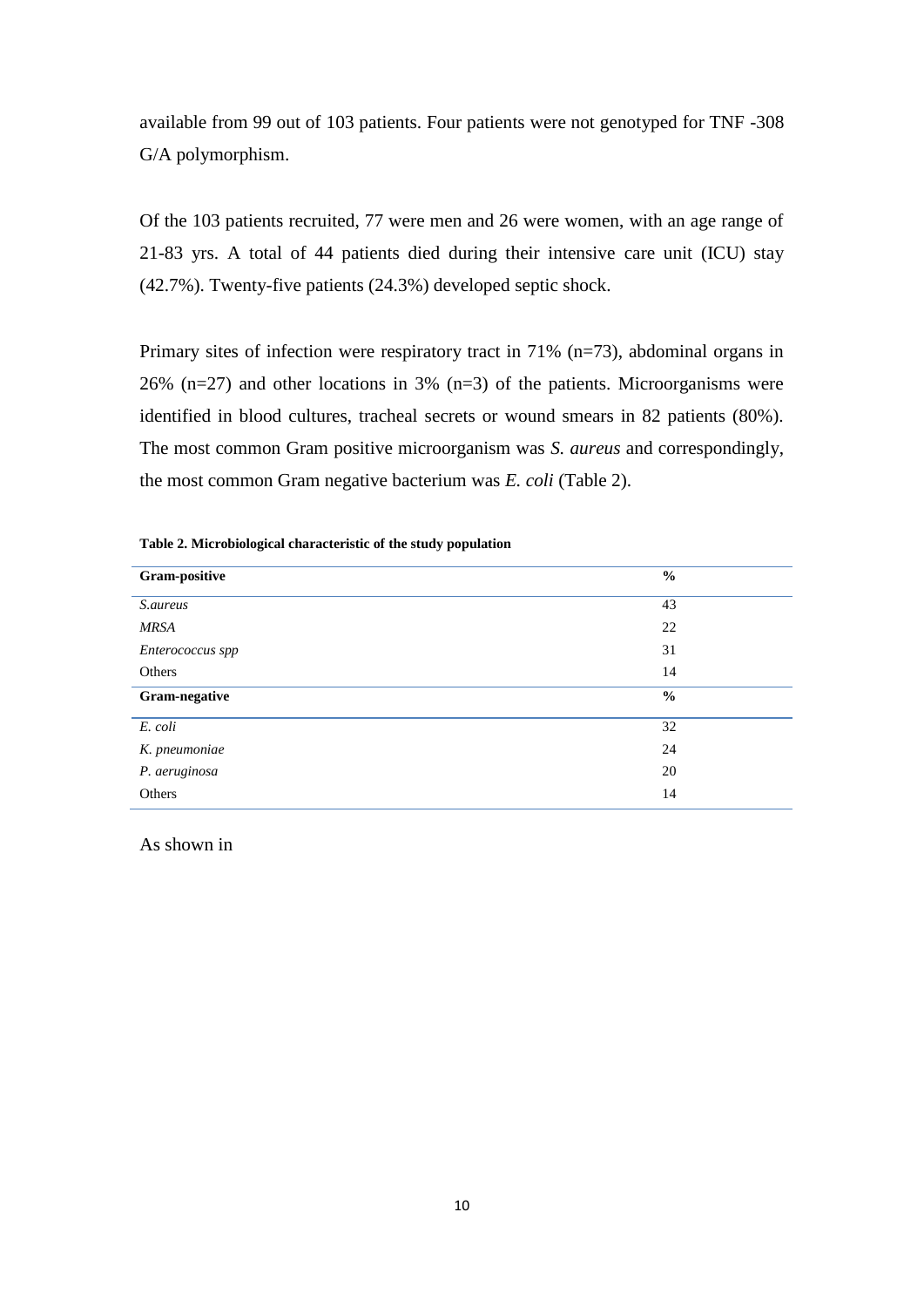available from 99 out of 103 patients. Four patients were not genotyped for TNF -308 G/A polymorphism.

Of the 103 patients recruited, 77 were men and 26 were women, with an age range of 21-83 yrs. A total of 44 patients died during their intensive care unit (ICU) stay (42.7%). Twenty-five patients (24.3%) developed septic shock.

Primary sites of infection were respiratory tract in 71% (n=73), abdominal organs in 26% (n=27) and other locations in 3% (n=3) of the patients. Microorganisms were identified in blood cultures, tracheal secrets or wound smears in 82 patients (80%). The most common Gram positive microorganism was *S. aureus* and correspondingly, the most common Gram negative bacterium was *E. coli* [\(Table 2\)](#page-9-0).

<span id="page-9-0"></span>

| Table 2. Microbiological characteristic of the study population |
|-----------------------------------------------------------------|
|-----------------------------------------------------------------|

| Gram-positive    | $\frac{6}{6}$ |
|------------------|---------------|
| S.aureus         | 43            |
| <b>MRSA</b>      | 22            |
| Enterococcus spp | 31            |
| Others           | 14            |
| Gram-negative    | $\frac{6}{6}$ |
| E. coli          | 32            |
| K. pneumoniae    | 24            |
|                  |               |
| P. aeruginosa    | 20            |

As shown in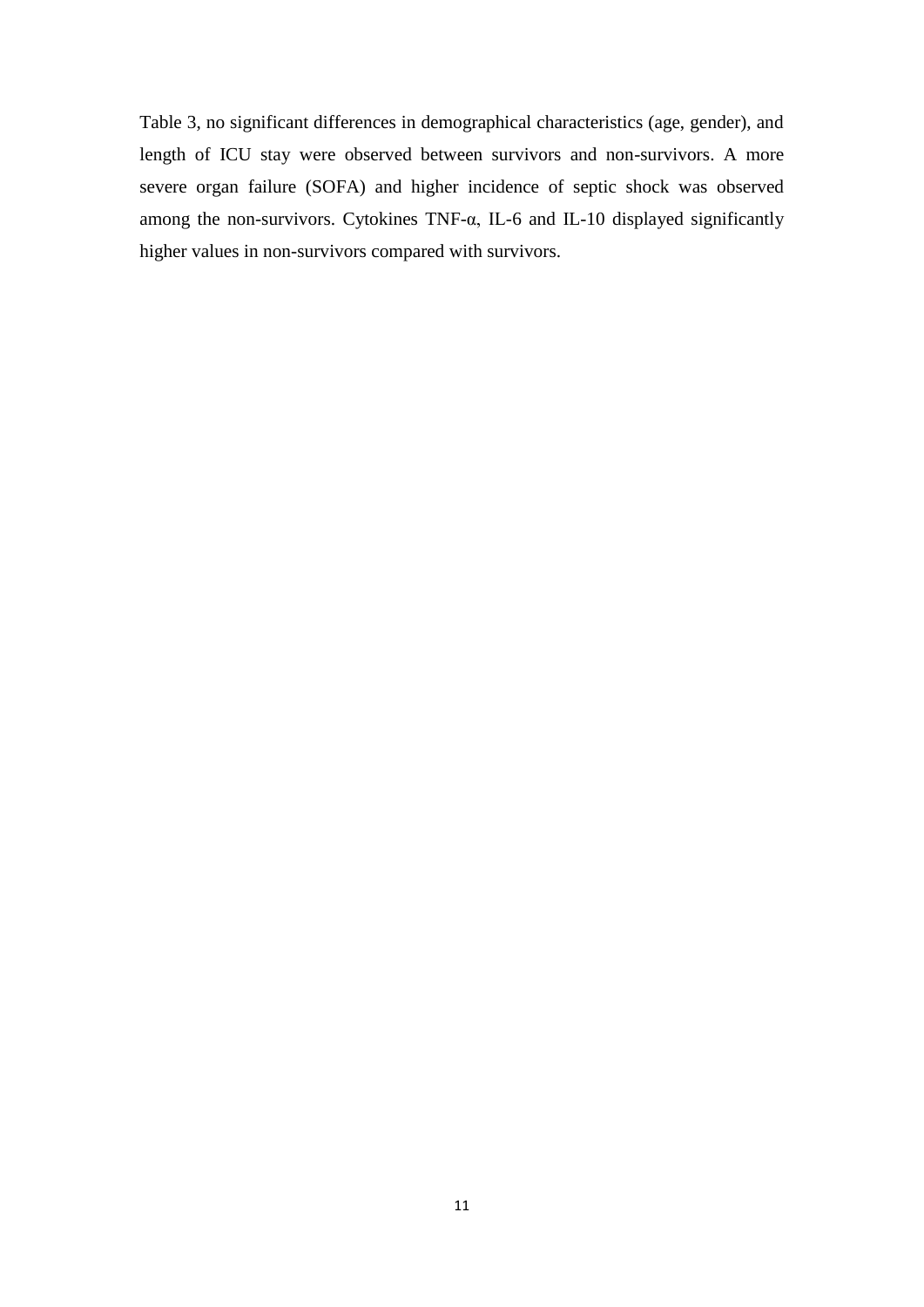<span id="page-10-0"></span>[Table 3,](#page-10-0) no significant differences in demographical characteristics (age, gender), and length of ICU stay were observed between survivors and non-survivors. A more severe organ failure (SOFA) and higher incidence of septic shock was observed among the non-survivors. Cytokines TNF- $\alpha$ , IL-6 and IL-10 displayed significantly higher values in non-survivors compared with survivors.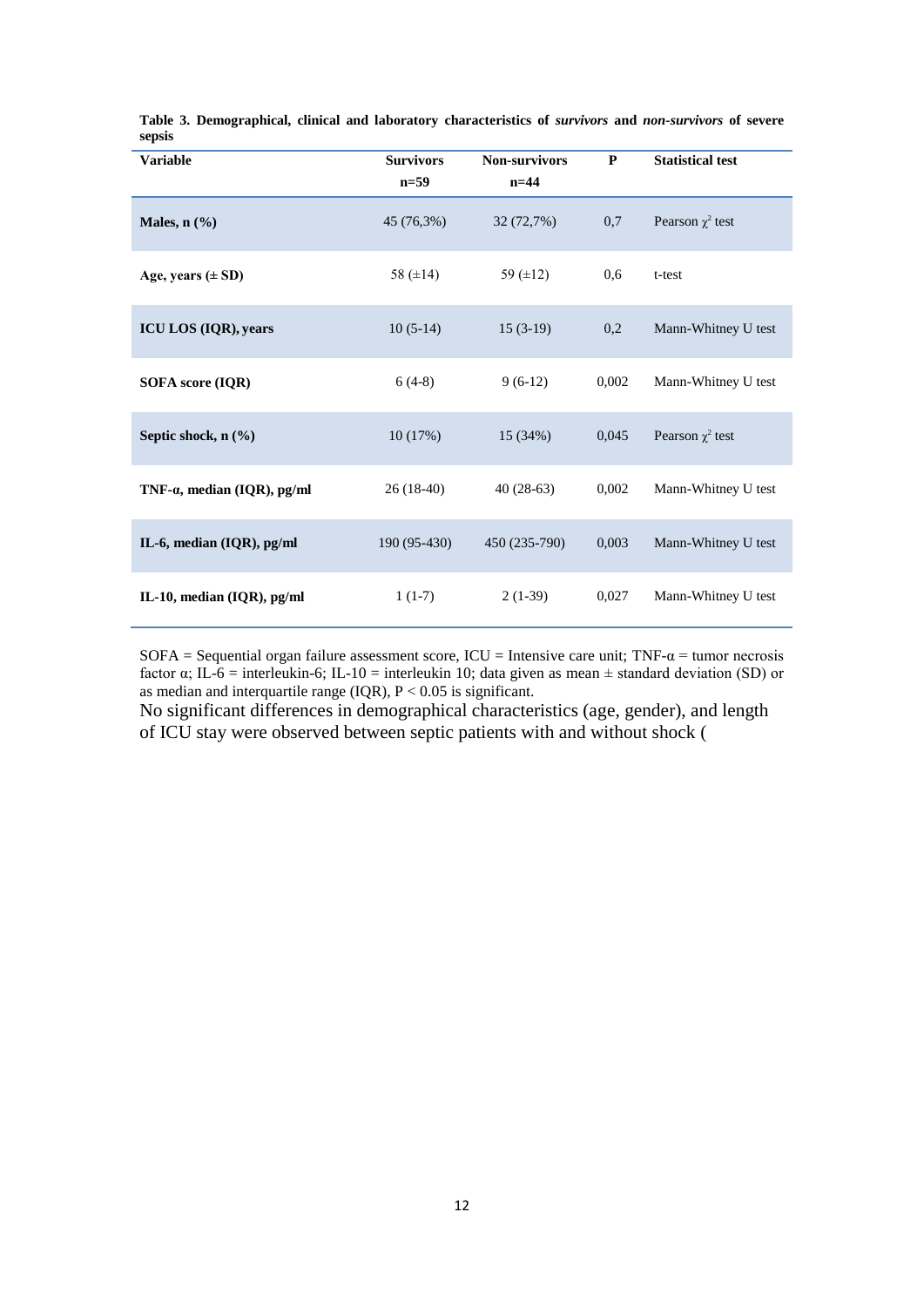| <b>Variable</b>                     | <b>Survivors</b> | <b>Non-survivors</b> | ${\bf P}$ | <b>Statistical test</b> |
|-------------------------------------|------------------|----------------------|-----------|-------------------------|
|                                     | $n=59$           | $n=44$               |           |                         |
| Males, $n$ $(\frac{6}{6})$          | 45 (76,3%)       | 32 (72,7%)           | 0,7       | Pearson $\chi^2$ test   |
| Age, years $(\pm SD)$               | 58 $(\pm 14)$    | 59 $(\pm 12)$        | 0.6       | t-test                  |
| ICU LOS (IQR), years                | $10(5-14)$       | $15(3-19)$           | 0,2       | Mann-Whitney U test     |
| SOFA score (IQR)                    | $6(4-8)$         | $9(6-12)$            | 0,002     | Mann-Whitney U test     |
| Septic shock, n (%)                 | 10(17%)          | 15 (34%)             | 0,045     | Pearson $\chi^2$ test   |
| TNF- $\alpha$ , median (IQR), pg/ml | $26(18-40)$      | $40(28-63)$          | 0,002     | Mann-Whitney U test     |
| IL-6, median (IQR), pg/ml           | 190 (95-430)     | 450 (235-790)        | 0,003     | Mann-Whitney U test     |
| IL-10, median $(IQR)$ , pg/ml       | $1(1-7)$         | $2(1-39)$            | 0,027     | Mann-Whitney U test     |

**Table 3. Demographical, clinical and laboratory characteristics of** *survivors* **and** *non-survivors* **of severe sepsis**

SOFA = Sequential organ failure assessment score, ICU = Intensive care unit; TNF- $\alpha$  = tumor necrosis factor α; IL-6 = interleukin-6; IL-10 = interleukin 10; data given as mean ± standard deviation (SD) or as median and interquartile range (IQR), P < 0.05 is significant.

No significant differences in demographical characteristics (age, gender), and length of ICU stay were observed between septic patients with and without shock [\(](#page-12-0)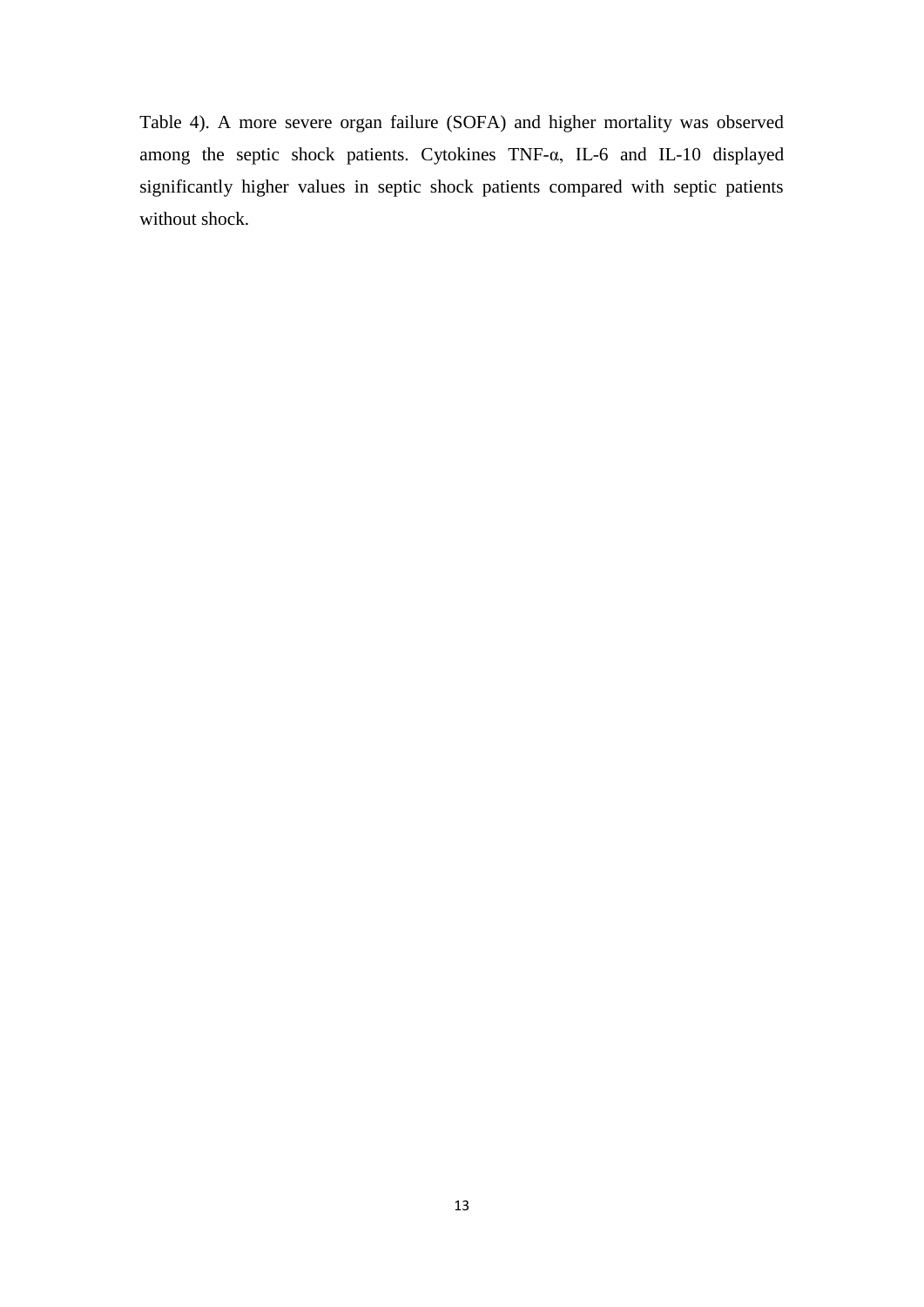<span id="page-12-0"></span>[Table 4\)](#page-12-0). A more severe organ failure (SOFA) and higher mortality was observed among the septic shock patients. Cytokines TNF-α, IL-6 and IL-10 displayed significantly higher values in septic shock patients compared with septic patients without shock.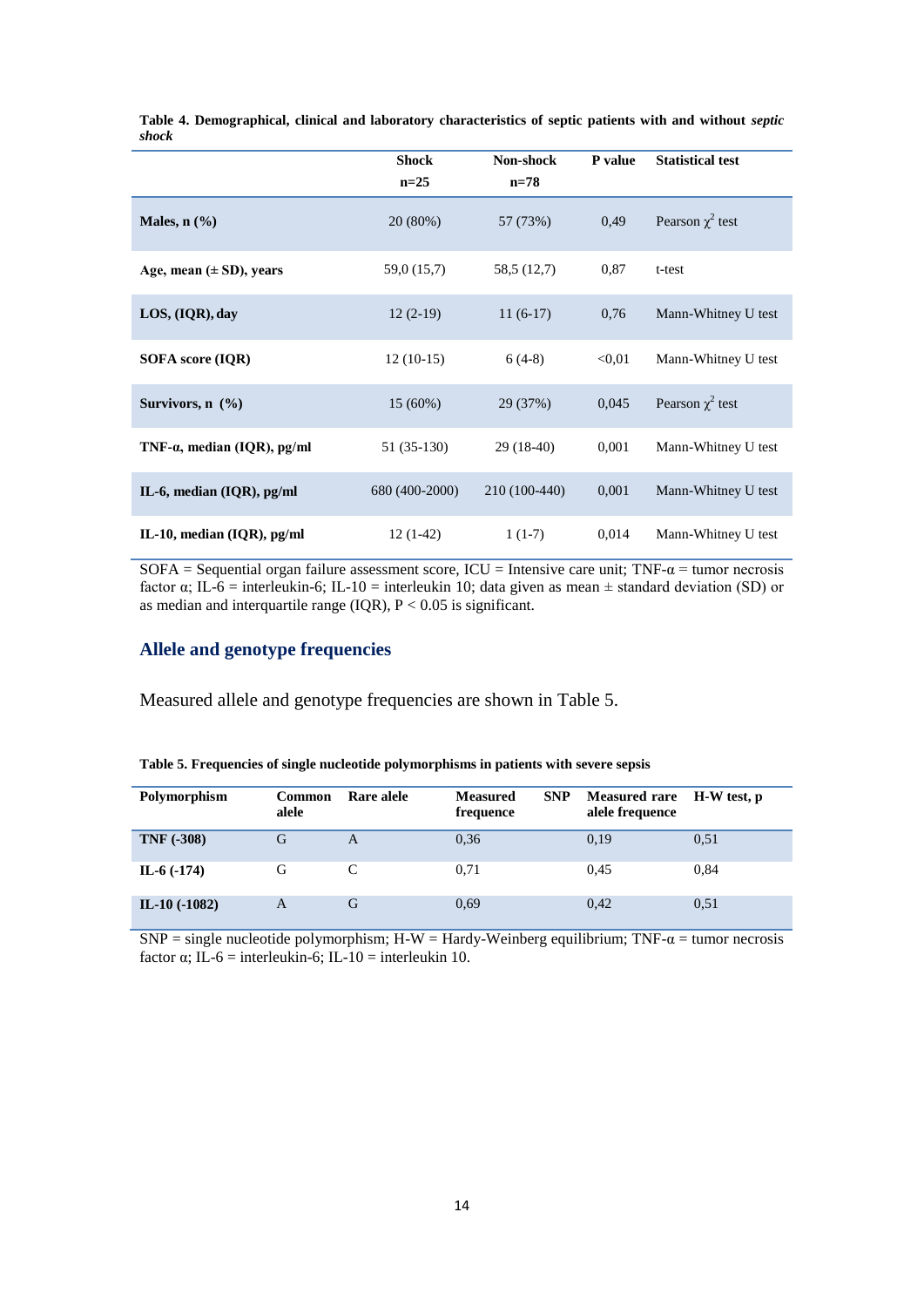|                                     | <b>Shock</b><br>$n=25$ | Non-shock<br>$n=78$ | P value | <b>Statistical test</b> |
|-------------------------------------|------------------------|---------------------|---------|-------------------------|
| Males, $n$ $(\%)$                   | 20 (80%)               | 57 (73%)            | 0.49    | Pearson $\chi^2$ test   |
| Age, mean $(\pm SD)$ , years        | 59,0 (15,7)            | 58,5 (12,7)         | 0,87    | t-test                  |
| LOS, (IQR), day                     | $12(2-19)$             | $11(6-17)$          | 0,76    | Mann-Whitney U test     |
| SOFA score (IQR)                    | $12(10-15)$            | $6(4-8)$            | < 0.01  | Mann-Whitney U test     |
| Survivors, $n$ $(\frac{9}{6})$      | 15(60%)                | 29 (37%)            | 0,045   | Pearson $\chi^2$ test   |
| TNF- $\alpha$ , median (IQR), pg/ml | 51 (35-130)            | $29(18-40)$         | 0,001   | Mann-Whitney U test     |
| IL-6, median $(IQR)$ , pg/ml        | 680 (400-2000)         | 210 (100-440)       | 0,001   | Mann-Whitney U test     |
| IL-10, median $(IQR)$ , pg/ml       | $12(1-42)$             | $1(1-7)$            | 0,014   | Mann-Whitney U test     |

**Table 4. Demographical, clinical and laboratory characteristics of septic patients with and without** *septic shock*

SOFA = Sequential organ failure assessment score,  $ICU = Intensive care unit$ ; TNF- $\alpha$  = tumor necrosis factor α; IL-6 = interleukin-6; IL-10 = interleukin 10; data given as mean ± standard deviation (SD) or as median and interquartile range (IQR),  $P < 0.05$  is significant.

## **Allele and genotype frequencies**

Measured allele and genotype frequencies are shown in [Table 5.](#page-13-0)

| Polymorphism      | <b>Common</b><br>alele | Rare alele | <b>SNP</b><br><b>Measured</b><br>frequence | <b>Measured rare</b><br>alele frequence | H-W test, p |
|-------------------|------------------------|------------|--------------------------------------------|-----------------------------------------|-------------|
| <b>TNF (-308)</b> | G                      | A          | 0,36                                       | 0,19                                    | 0.51        |
| IL-6 $(-174)$     | G                      | C          | 0.71                                       | 0.45                                    | 0,84        |
| IL-10 $(-1082)$   | A                      | G          | 0.69                                       | 0.42                                    | 0.51        |

<span id="page-13-0"></span>

SNP = single nucleotide polymorphism; H-W = Hardy-Weinberg equilibrium; TNF- $\alpha$  = tumor necrosis factor  $\alpha$ ; IL-6 = interleukin-6; IL-10 = interleukin 10.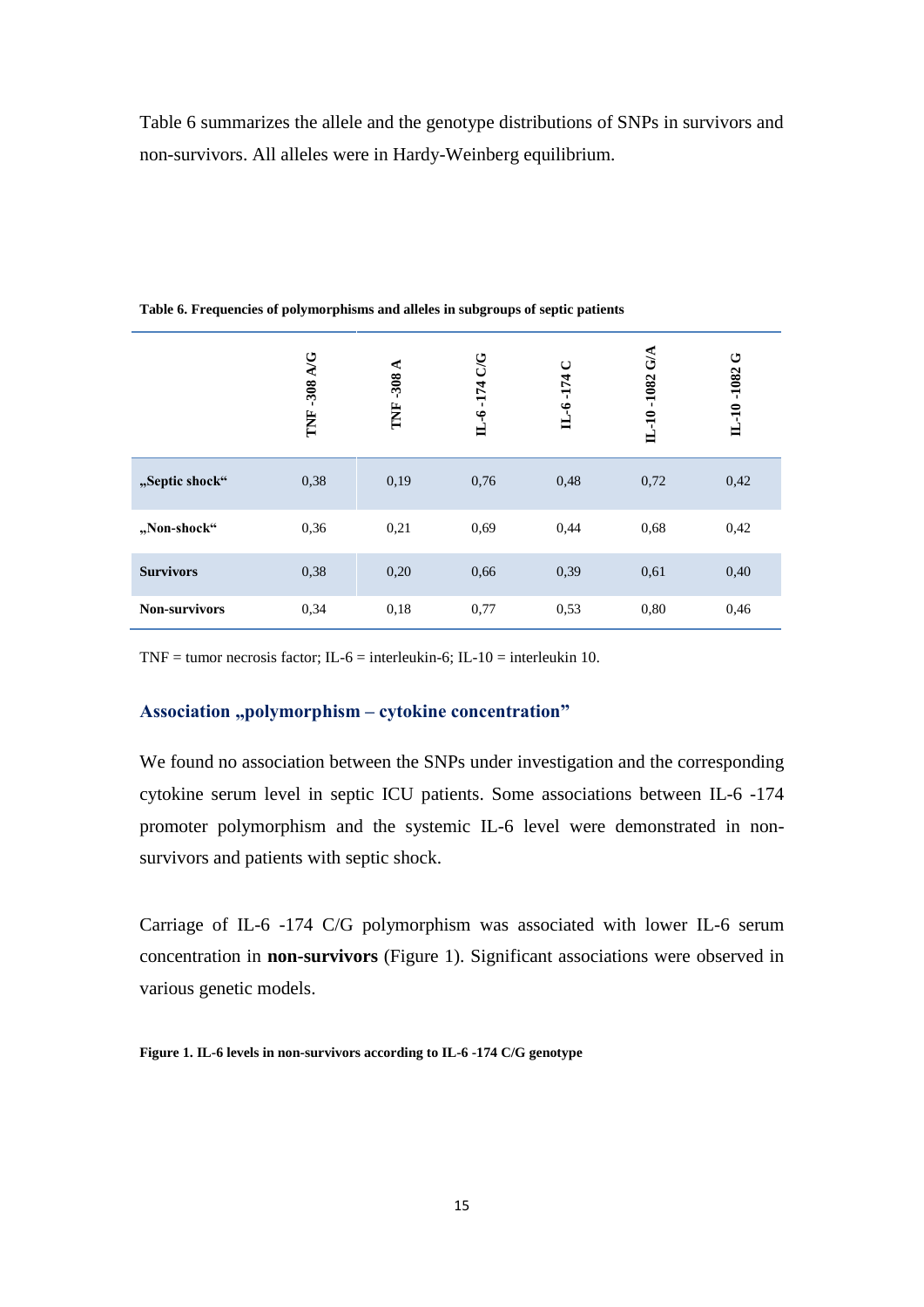[Table 6](#page-14-0) summarizes the allele and the genotype distributions of SNPs in survivors and non-survivors. All alleles were in Hardy-Weinberg equilibrium.

|                      | -308 A/G<br>Ĕ | $-308A$<br>TNF. | <b>UG</b><br>-174<br>$L - 6$ | $\cup$<br>IL-6-174 | G/A<br>-1082<br>$IL-10$ | ڻ<br>-1082<br>$IL-10$ |
|----------------------|---------------|-----------------|------------------------------|--------------------|-------------------------|-----------------------|
| "Septic shock"       | 0,38          | 0,19            | 0,76                         | 0,48               | 0,72                    | 0,42                  |
| "Non-shock"          | 0,36          | 0,21            | 0.69                         | 0,44               | 0.68                    | 0,42                  |
| <b>Survivors</b>     | 0,38          | 0,20            | 0,66                         | 0,39               | 0,61                    | 0,40                  |
| <b>Non-survivors</b> | 0,34          | 0,18            | 0,77                         | 0,53               | 0,80                    | 0,46                  |

<span id="page-14-0"></span>**Table 6. Frequencies of polymorphisms and alleles in subgroups of septic patients**

TNF = tumor necrosis factor; IL-6 = interleukin-6; IL-10 = interleukin 10.

## Association "polymorphism – cytokine concentration"

We found no association between the SNPs under investigation and the corresponding cytokine serum level in septic ICU patients. Some associations between IL-6 -174 promoter polymorphism and the systemic IL-6 level were demonstrated in nonsurvivors and patients with septic shock.

Carriage of IL-6 -174 C/G polymorphism was associated with lower IL-6 serum concentration in **non-survivors** [\(Figure 1\)](#page-14-1). Significant associations were observed in various genetic models.

<span id="page-14-1"></span>**Figure 1. IL-6 levels in non-survivors according to IL-6 -174 C/G genotype**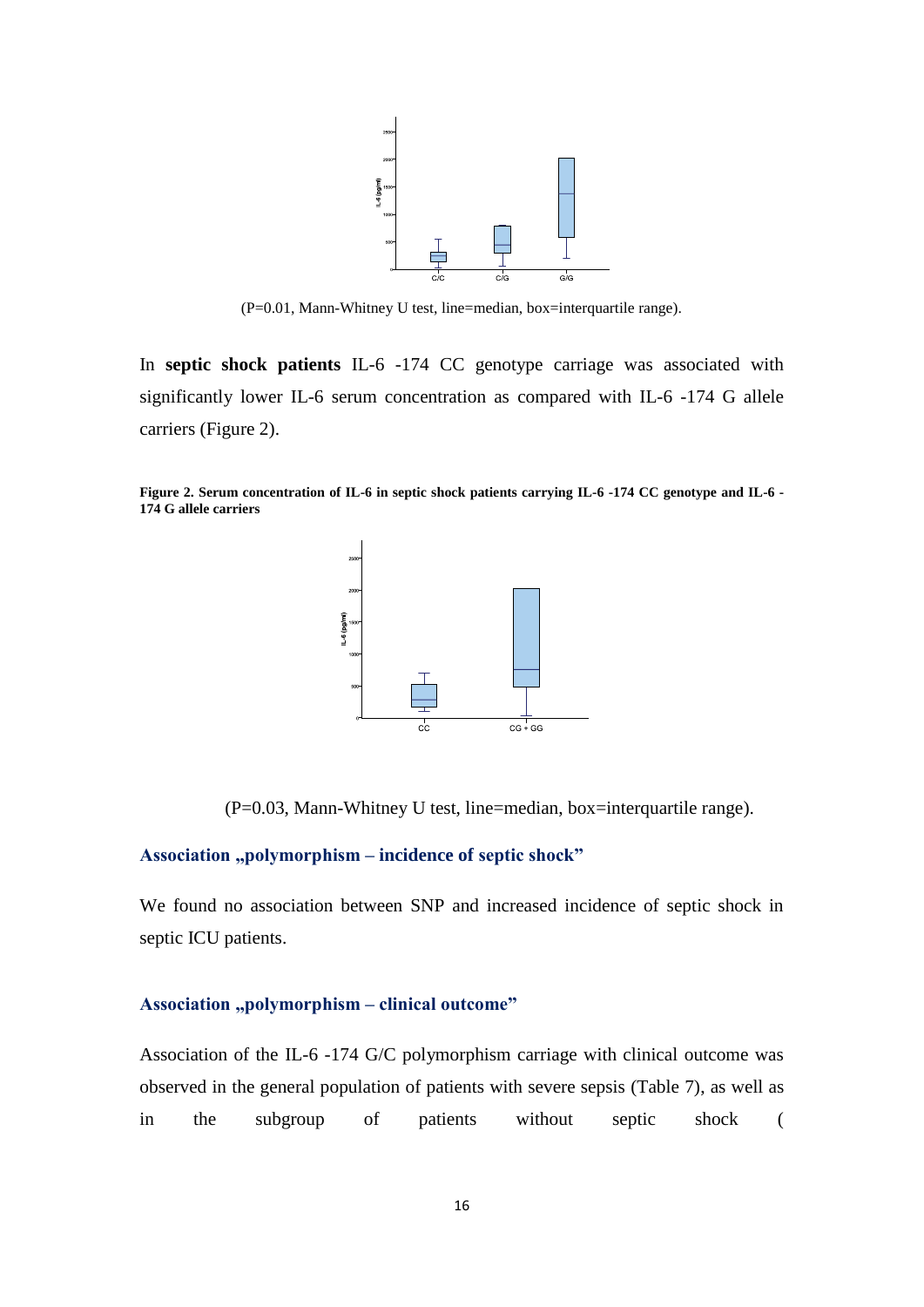

(P=0.01, Mann-Whitney U test, line=median, box=interquartile range).

In **septic shock patients** IL-6 -174 CC genotype carriage was associated with significantly lower IL-6 serum concentration as compared with IL-6 -174 G allele carriers [\(Figure 2\)](#page-15-0).

<span id="page-15-0"></span>**Figure 2. Serum concentration of IL-6 in septic shock patients carrying IL-6 -174 CC genotype and IL-6 - 174 G allele carriers** 



(P=0.03, Mann-Whitney U test, line=median, box=interquartile range).

#### **Association "polymorphism – incidence of septic shock"**

We found no association between SNP and increased incidence of septic shock in septic ICU patients.

## Association "polymorphism – clinical outcome"

Association of the IL-6 -174 G/C polymorphism carriage with clinical outcome was observed in the general population of patients with severe sepsis [\(Table 7\)](#page-16-0), as well as in the subgroup of patients without septic shock (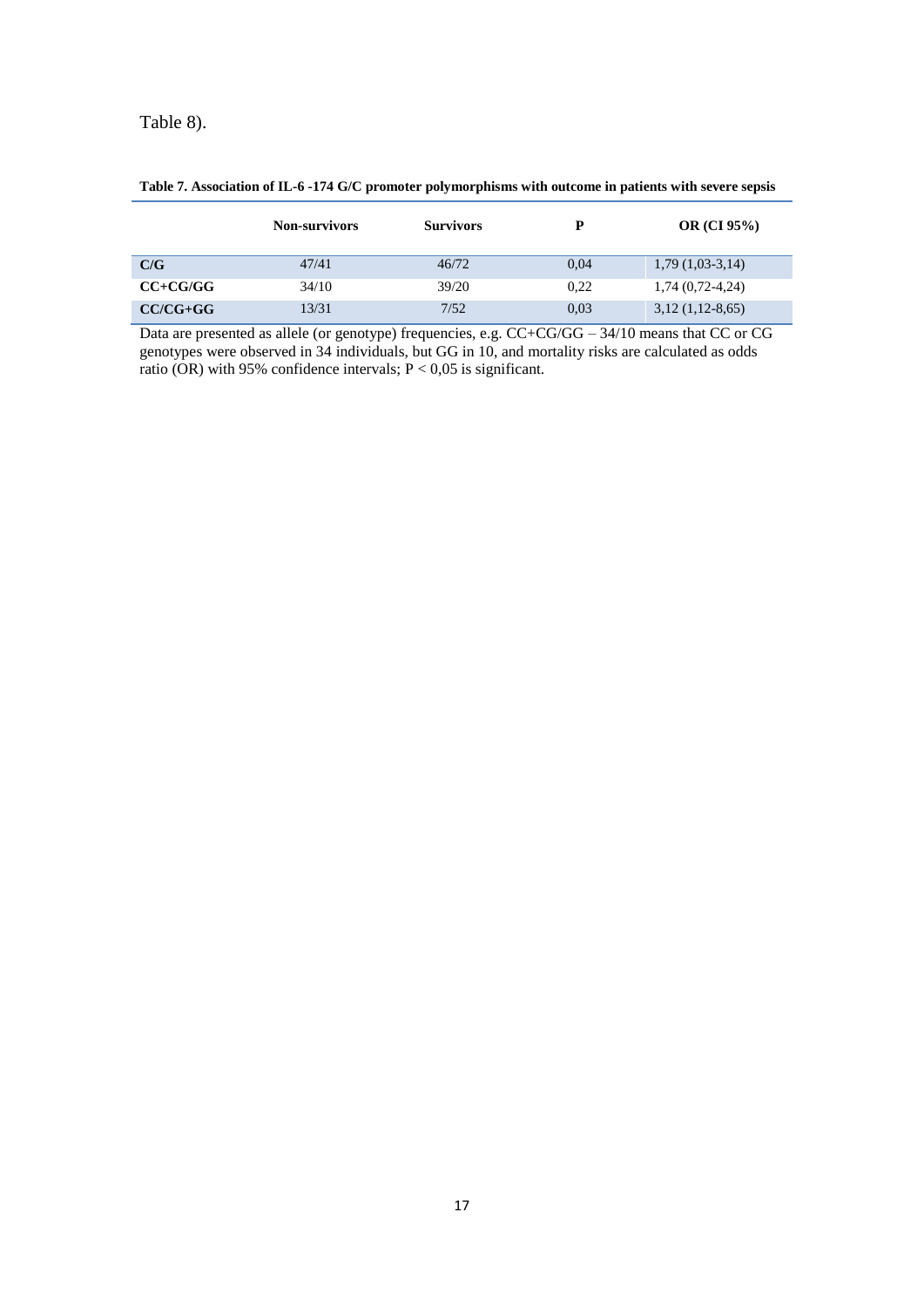[Table 8\)](#page-16-1).

|              | <b>Non-survivors</b> | <b>Survivors</b> | P    | OR $(CI\,95\%)$    |
|--------------|----------------------|------------------|------|--------------------|
| C/G          | 47/41                | 46/72            | 0.04 | $1,79(1,03-3,14)$  |
| $CC + CG/GG$ | 34/10                | 39/20            | 0.22 | $1,74(0,72-4,24)$  |
| $CC/CG+GG$   | 13/31                | 7/52             | 0.03 | $3,12$ (1,12-8,65) |

#### <span id="page-16-0"></span>**Table 7. Association of IL-6 -174 G/C promoter polymorphisms with outcome in patients with severe sepsis**

<span id="page-16-1"></span>Data are presented as allele (or genotype) frequencies, e.g.  $CC + CG/GG - 34/10$  means that CC or CG genotypes were observed in 34 individuals, but GG in 10, and mortality risks are calculated as odds ratio (OR) with 95% confidence intervals;  $P < 0.05$  is significant.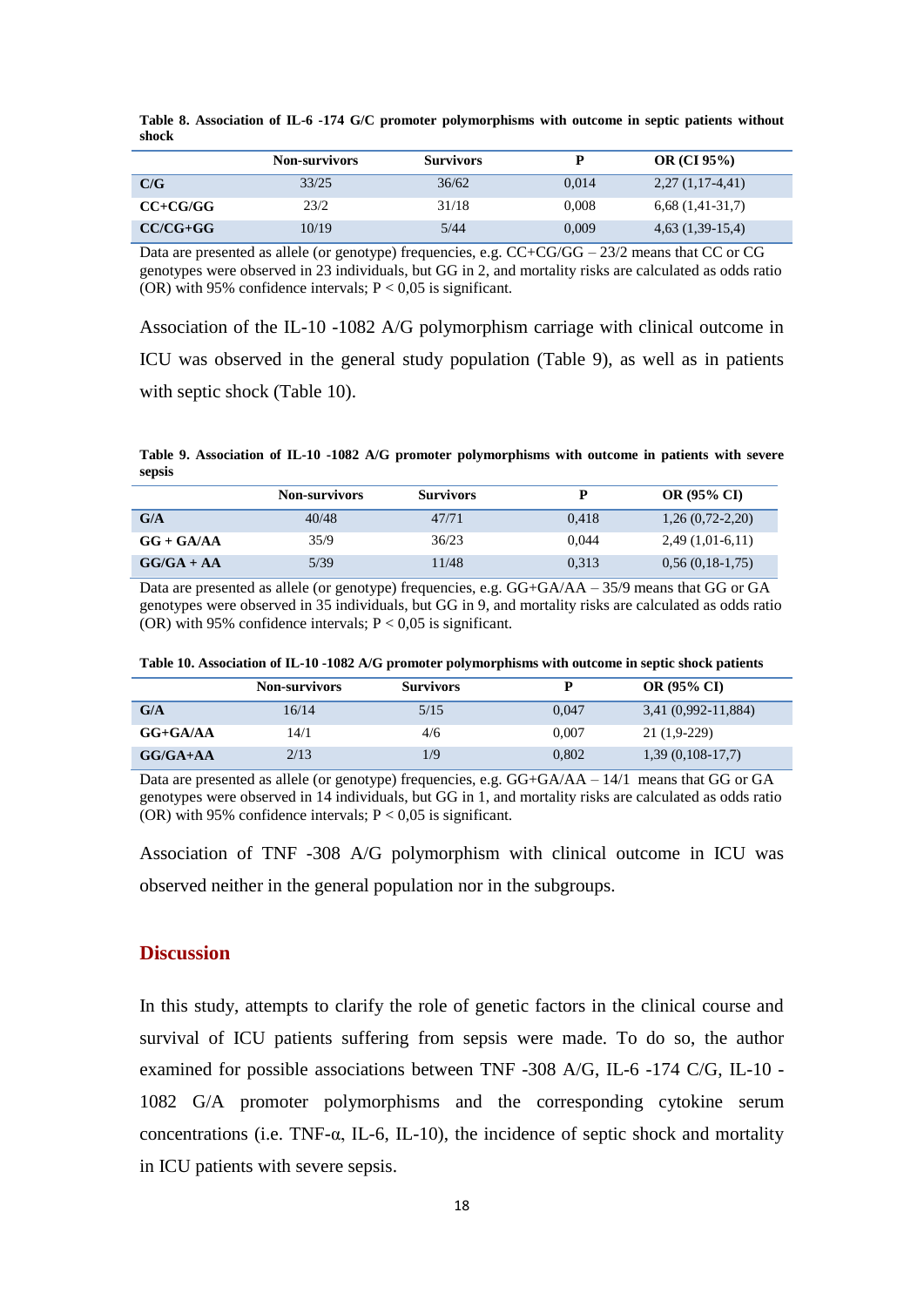|              | <b>Non-survivors</b> | <b>Survivors</b> |       | OR $(CI 95%)$        |  |
|--------------|----------------------|------------------|-------|----------------------|--|
| C/G          | 33/25                | 36/62            | 0.014 | $2,27(1,17-4,41)$    |  |
| $CC + CG/GG$ | 23/2                 | 31/18            | 0.008 | $6,68$ $(1,41-31,7)$ |  |
| $CC/CG+GG$   | 10/19                | 5/44             | 0,009 | $4,63$ $(1,39-15,4)$ |  |

**Table 8. Association of IL-6 -174 G/C promoter polymorphisms with outcome in septic patients without shock**

Data are presented as allele (or genotype) frequencies, e.g.  $CC+CG/GG - 23/2$  means that CC or CG genotypes were observed in 23 individuals, but GG in 2, and mortality risks are calculated as odds ratio (OR) with 95% confidence intervals;  $P < 0.05$  is significant.

Association of the IL-10 -1082 A/G polymorphism carriage with clinical outcome in ICU was observed in the general study population [\(Table 9\)](#page-17-0), as well as in patients with septic shock [\(Table 10\)](#page-17-1).

<span id="page-17-0"></span>**Table 9. Association of IL-10 -1082 A/G promoter polymorphisms with outcome in patients with severe sepsis**

|              | <b>Non-survivors</b> | <b>Survivors</b> |       | <b>OR (95% CI)</b> |
|--------------|----------------------|------------------|-------|--------------------|
| G/A          | 40/48                | 47/71            | 0.418 | $1,26(0,72-2,20)$  |
| $GG + GA/AA$ | 35/9                 | 36/23            | 0.044 | $2,49(1,01-6,11)$  |
| $GG/GA + AA$ | 5/39                 | 11/48            | 0.313 | $0,56(0,18-1,75)$  |

Data are presented as allele (or genotype) frequencies, e.g.  $GG + GA/AA - 35/9$  means that  $GG$  or  $GA$ genotypes were observed in 35 individuals, but GG in 9, and mortality risks are calculated as odds ratio (OR) with 95% confidence intervals;  $P < 0.05$  is significant.

<span id="page-17-1"></span>**Table 10. Association of IL-10 -1082 A/G promoter polymorphisms with outcome in septic shock patients**

|              | <b>Non-survivors</b> | <b>Survivors</b> |       | <b>OR (95% CI)</b>  |
|--------------|----------------------|------------------|-------|---------------------|
| G/A          | 16/14                | 5/15             | 0.047 | 3,41 (0,992-11,884) |
| $GG + GA/AA$ | 14/1                 | 4/6              | 0.007 | $21(1,9-229)$       |
| $G/G/A+AA$   | 2/13                 | 1/9              | 0.802 | $1,39(0,108-17,7)$  |

Data are presented as allele (or genotype) frequencies, e.g. GG+GA/AA – 14/1 means that GG or GA genotypes were observed in 14 individuals, but GG in 1, and mortality risks are calculated as odds ratio (OR) with 95% confidence intervals;  $P < 0.05$  is significant.

Association of TNF -308 A/G polymorphism with clinical outcome in ICU was observed neither in the general population nor in the subgroups.

#### **Discussion**

In this study, attempts to clarify the role of genetic factors in the clinical course and survival of ICU patients suffering from sepsis were made. To do so, the author examined for possible associations between TNF -308 A/G, IL-6 -174 C/G, IL-10 - 1082 G/A promoter polymorphisms and the corresponding cytokine serum concentrations (i.e. TNF-α, IL-6, IL-10), the incidence of septic shock and mortality in ICU patients with severe sepsis.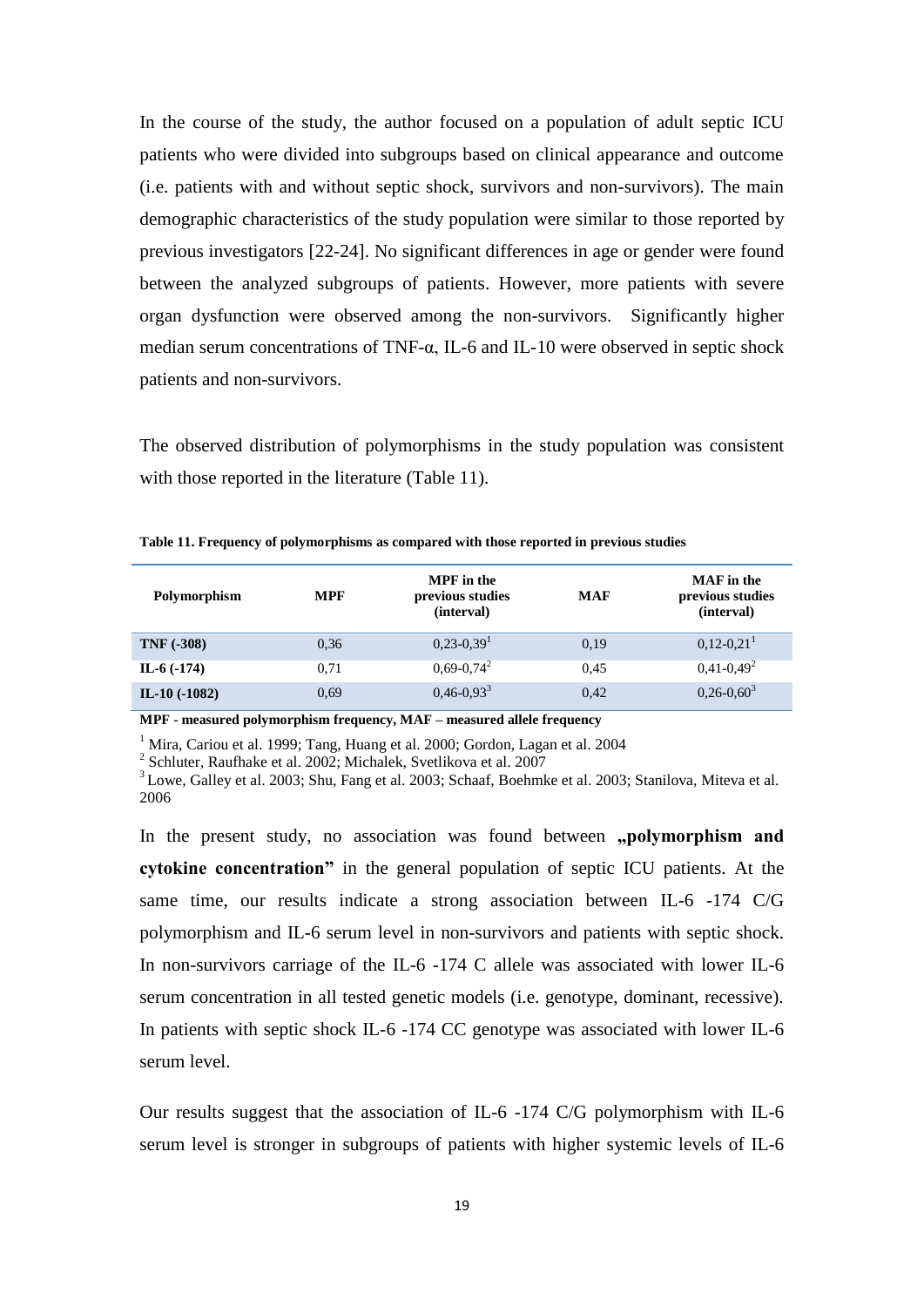In the course of the study, the author focused on a population of adult septic ICU patients who were divided into subgroups based on clinical appearance and outcome (i.e. patients with and without septic shock, survivors and non-survivors). The main demographic characteristics of the study population were similar to those reported by previous investigators [22-24]. No significant differences in age or gender were found between the analyzed subgroups of patients. However, more patients with severe organ dysfunction were observed among the non-survivors. Significantly higher median serum concentrations of TNF-α, IL-6 and IL-10 were observed in septic shock patients and non-survivors.

The observed distribution of polymorphisms in the study population was consistent with those reported in the literature [\(Table 11\)](#page-18-0).

| <b>Polymorphism</b> | <b>MPF</b> | <b>MPF</b> in the<br>previous studies<br>(interval) | <b>MAF</b> | <b>MAF</b> in the<br>previous studies<br>(interval) |
|---------------------|------------|-----------------------------------------------------|------------|-----------------------------------------------------|
| <b>TNF (-308)</b>   | 0.36       | $0,23-0,39$ <sup>1</sup>                            | 0.19       | $0,12-0,21$                                         |
| IL-6 $(-174)$       | 0.71       | $0,69-0,74^2$                                       | 0.45       | $0,41-0,49^2$                                       |
| IL-10 $(-1082)$     | 0.69       | $0,46-0,93^3$                                       | 0.42       | $0,26-0,60^3$                                       |

<span id="page-18-0"></span>**Table 11. Frequency of polymorphisms as compared with those reported in previous studies**

**MPF - measured polymorphism frequency, MAF – measured allele frequency**

<sup>1</sup> Mira, Cariou et al. 1999; Tang, Huang et al. 2000; Gordon, Lagan et al. 2004

2 Schluter, Raufhake et al. 2002; Michalek, Svetlikova et al. 2007

<sup>3</sup>Lowe, Galley et al. 2003; Shu, Fang et al. 2003; Schaaf, Boehmke et al. 2003; Stanilova, Miteva et al. 2006

In the present study, no association was found between **,polymorphism and cytokine concentration"** in the general population of septic ICU patients. At the same time, our results indicate a strong association between IL-6 -174 C/G polymorphism and IL-6 serum level in non-survivors and patients with septic shock. In non-survivors carriage of the IL-6 -174 C allele was associated with lower IL-6 serum concentration in all tested genetic models (i.e. genotype, dominant, recessive). In patients with septic shock IL-6 -174 CC genotype was associated with lower IL-6 serum level.

Our results suggest that the association of IL-6 -174 C/G polymorphism with IL-6 serum level is stronger in subgroups of patients with higher systemic levels of IL-6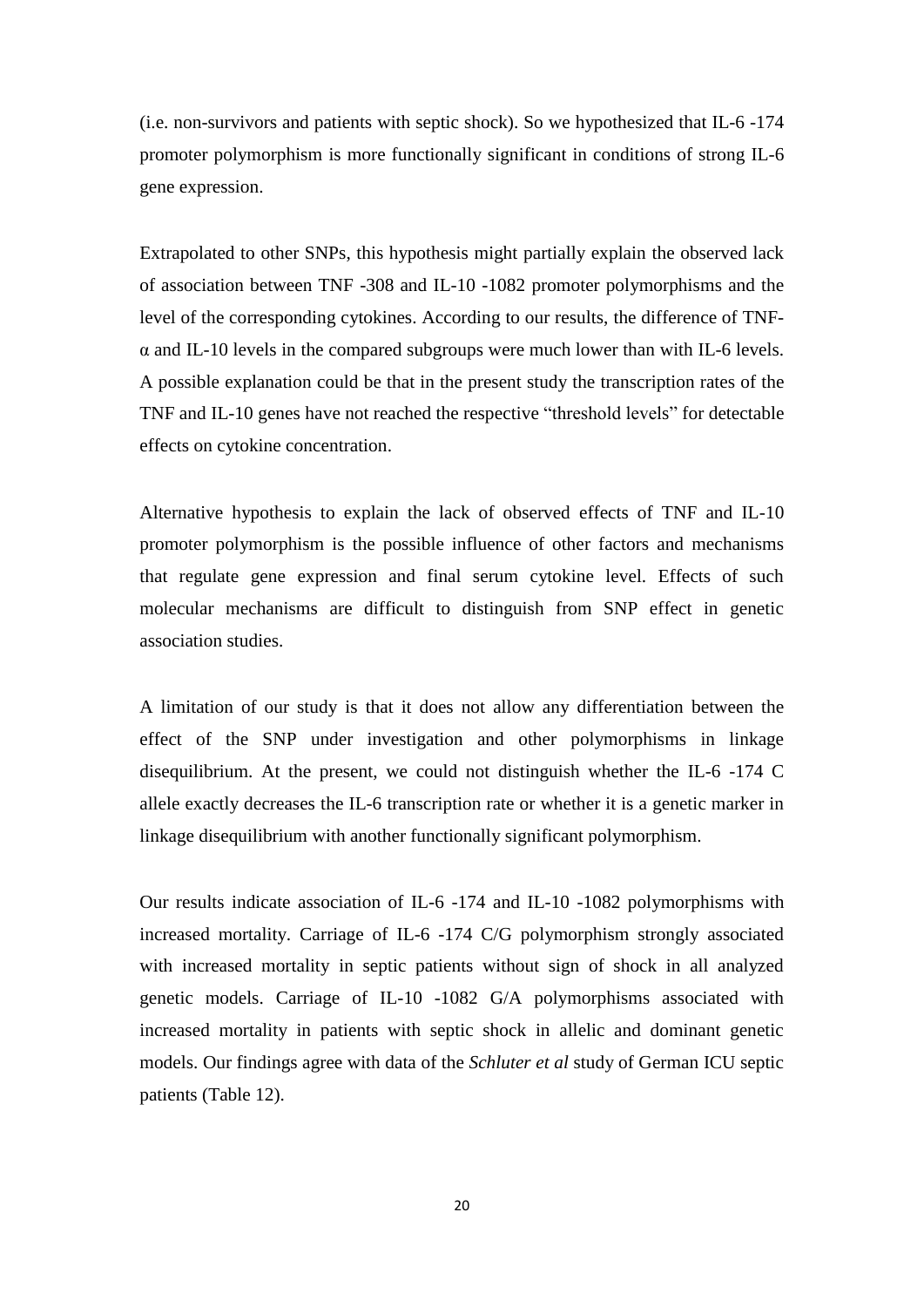(i.e. non-survivors and patients with septic shock). So we hypothesized that IL-6 -174 promoter polymorphism is more functionally significant in conditions of strong IL-6 gene expression.

Extrapolated to other SNPs, this hypothesis might partially explain the observed lack of association between TNF -308 and IL-10 -1082 promoter polymorphisms and the level of the corresponding cytokines. According to our results, the difference of TNF- $\alpha$  and IL-10 levels in the compared subgroups were much lower than with IL-6 levels. A possible explanation could be that in the present study the transcription rates of the TNF and IL-10 genes have not reached the respective "threshold levels" for detectable effects on cytokine concentration.

Alternative hypothesis to explain the lack of observed effects of TNF and IL-10 promoter polymorphism is the possible influence of other factors and mechanisms that regulate gene expression and final serum cytokine level. Effects of such molecular mechanisms are difficult to distinguish from SNP effect in genetic association studies.

A limitation of our study is that it does not allow any differentiation between the effect of the SNP under investigation and other polymorphisms in linkage disequilibrium. At the present, we could not distinguish whether the IL-6 -174 C allele exactly decreases the IL-6 transcription rate or whether it is a genetic marker in linkage disequilibrium with another functionally significant polymorphism.

Our results indicate association of IL-6 -174 and IL-10 -1082 polymorphisms with increased mortality. Carriage of IL-6 -174 C/G polymorphism strongly associated with increased mortality in septic patients without sign of shock in all analyzed genetic models. Carriage of IL-10 -1082 G/A polymorphisms associated with increased mortality in patients with septic shock in allelic and dominant genetic models. Our findings agree with data of the *Schluter et al* study of German ICU septic patients [\(Table 12\)](#page-20-0).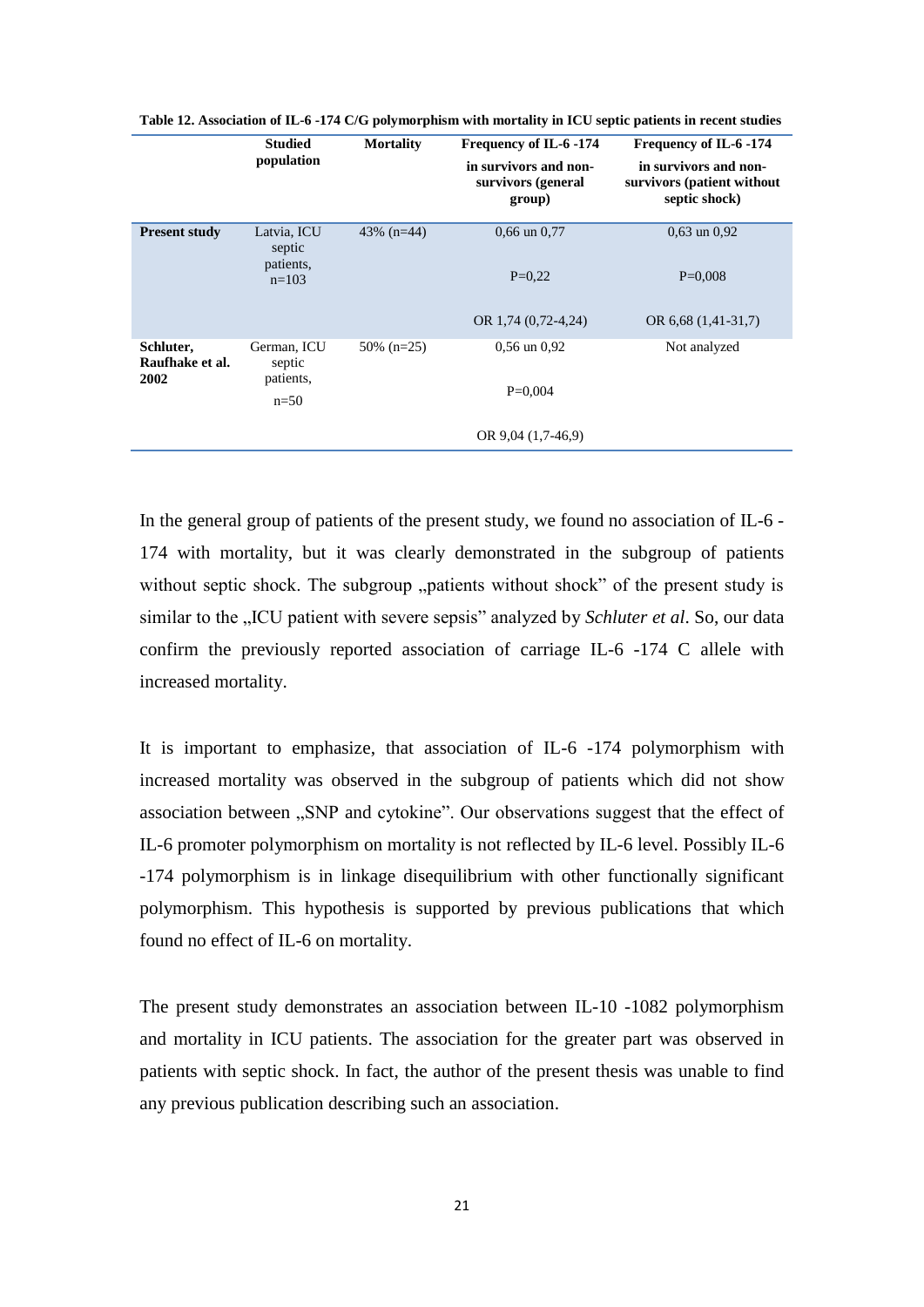|                                      | <b>Studied</b><br>population                  | <b>Mortality</b> | Frequency of IL-6 -174<br>in survivors and non-<br>survivors (general<br>group) | Frequency of IL-6 -174<br>in survivors and non-<br>survivors (patient without<br>septic shock) |
|--------------------------------------|-----------------------------------------------|------------------|---------------------------------------------------------------------------------|------------------------------------------------------------------------------------------------|
| <b>Present study</b>                 | Latvia, ICU<br>septic<br>patients,<br>$n=103$ | 43\% $(n=44)$    | $0.66$ un $0.77$<br>$P=0.22$                                                    | $0.63$ un $0.92$<br>$P=0,008$                                                                  |
|                                      |                                               |                  | OR 1,74 $(0.72 - 4.24)$                                                         | OR $6,68$ $(1,41-31,7)$                                                                        |
| Schluter,<br>Raufhake et al.<br>2002 | German, ICU<br>septic<br>patients,            | $50\%$ (n=25)    | $0.56$ un $0.92$                                                                | Not analyzed                                                                                   |
|                                      | $n=50$                                        |                  | $P=0.004$                                                                       |                                                                                                |
|                                      |                                               |                  | OR $9,04(1,7-46,9)$                                                             |                                                                                                |

<span id="page-20-0"></span>**Table 12. Association of IL-6 -174 C/G polymorphism with mortality in ICU septic patients in recent studies**

In the general group of patients of the present study, we found no association of IL-6 -174 with mortality, but it was clearly demonstrated in the subgroup of patients without septic shock. The subgroup "patients without shock" of the present study is similar to the "ICU patient with severe sepsis" analyzed by *Schluter et al.* So, our data confirm the previously reported association of carriage IL-6 -174 C allele with increased mortality.

It is important to emphasize, that association of IL-6 -174 polymorphism with increased mortality was observed in the subgroup of patients which did not show association between "SNP and cytokine". Our observations suggest that the effect of IL-6 promoter polymorphism on mortality is not reflected by IL-6 level. Possibly IL-6 -174 polymorphism is in linkage disequilibrium with other functionally significant polymorphism. This hypothesis is supported by previous publications that which found no effect of IL-6 on mortality.

The present study demonstrates an association between IL-10 -1082 polymorphism and mortality in ICU patients. The association for the greater part was observed in patients with septic shock. In fact, the author of the present thesis was unable to find any previous publication describing such an association.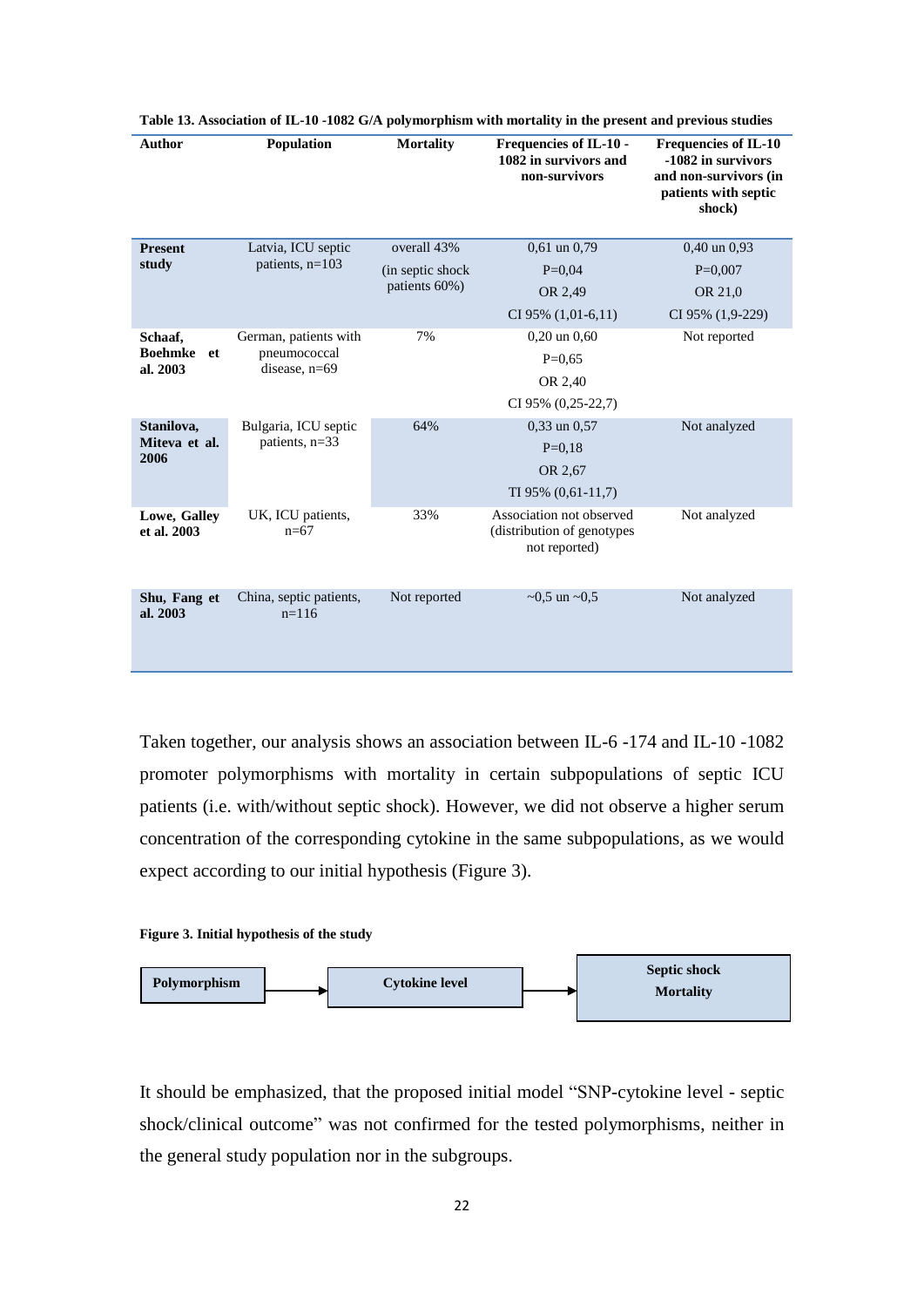| <b>Author</b>                                | Population                             | <b>Mortality</b>  | <b>Frequencies of IL-10 -</b><br>1082 in survivors and<br>non-survivors | <b>Frequencies of IL-10</b><br>-1082 in survivors<br>and non-survivors (in<br>patients with septic<br>shock) |
|----------------------------------------------|----------------------------------------|-------------------|-------------------------------------------------------------------------|--------------------------------------------------------------------------------------------------------------|
| <b>Present</b>                               | Latvia, ICU septic                     | overall 43%       | $0.61$ un $0.79$                                                        | $0,40$ un $0.93$                                                                                             |
| study                                        | patients, $n=103$                      | (in septic shock) | $P=0.04$                                                                | $P=0,007$                                                                                                    |
|                                              |                                        | patients 60%)     | OR 2,49                                                                 | OR 21,0                                                                                                      |
|                                              |                                        |                   | $CI 95\% (1,01-6,11)$                                                   | CI 95% (1,9-229)                                                                                             |
| Schaaf.<br><b>Boehmke</b><br>et.<br>al. 2003 | German, patients with                  | 7%                | $0,20$ un $0,60$                                                        | Not reported                                                                                                 |
|                                              | pneumococcal<br>disease, $n=69$        |                   | $P=0.65$                                                                |                                                                                                              |
|                                              |                                        |                   | OR 2,40                                                                 |                                                                                                              |
|                                              |                                        |                   | CI 95% (0,25-22,7)                                                      |                                                                                                              |
| Stanilova,<br>Miteva et al.<br>2006          | Bulgaria, ICU septic<br>patients, n=33 | 64%               | $0,33$ un $0,57$                                                        | Not analyzed                                                                                                 |
|                                              |                                        |                   | $P=0.18$                                                                |                                                                                                              |
|                                              |                                        |                   | OR 2,67                                                                 |                                                                                                              |
|                                              |                                        |                   | $TI$ 95% $(0,61-11,7)$                                                  |                                                                                                              |
| Lowe, Galley<br>et al. 2003                  | UK, ICU patients,<br>$n=67$            | 33%               | Association not observed<br>(distribution of genotypes<br>not reported) | Not analyzed                                                                                                 |
| Shu, Fang et<br>al. 2003                     | China, septic patients,<br>$n=116$     | Not reported      | $\sim 0.5$ un $\sim 0.5$                                                | Not analyzed                                                                                                 |

| Table 13. Association of IL-10 -1082 G/A polymorphism with mortality in the present and previous studies |  |  |  |
|----------------------------------------------------------------------------------------------------------|--|--|--|
|----------------------------------------------------------------------------------------------------------|--|--|--|

Taken together, our analysis shows an association between IL-6 -174 and IL-10 -1082 promoter polymorphisms with mortality in certain subpopulations of septic ICU patients (i.e. with/without septic shock). However, we did not observe a higher serum concentration of the corresponding cytokine in the same subpopulations, as we would expect according to our initial hypothesis [\(Figure 3\)](#page-21-0).

#### <span id="page-21-0"></span>**Figure 3. Initial hypothesis of the study**



It should be emphasized, that the proposed initial model "SNP-cytokine level - septic shock/clinical outcome" was not confirmed for the tested polymorphisms, neither in the general study population nor in the subgroups.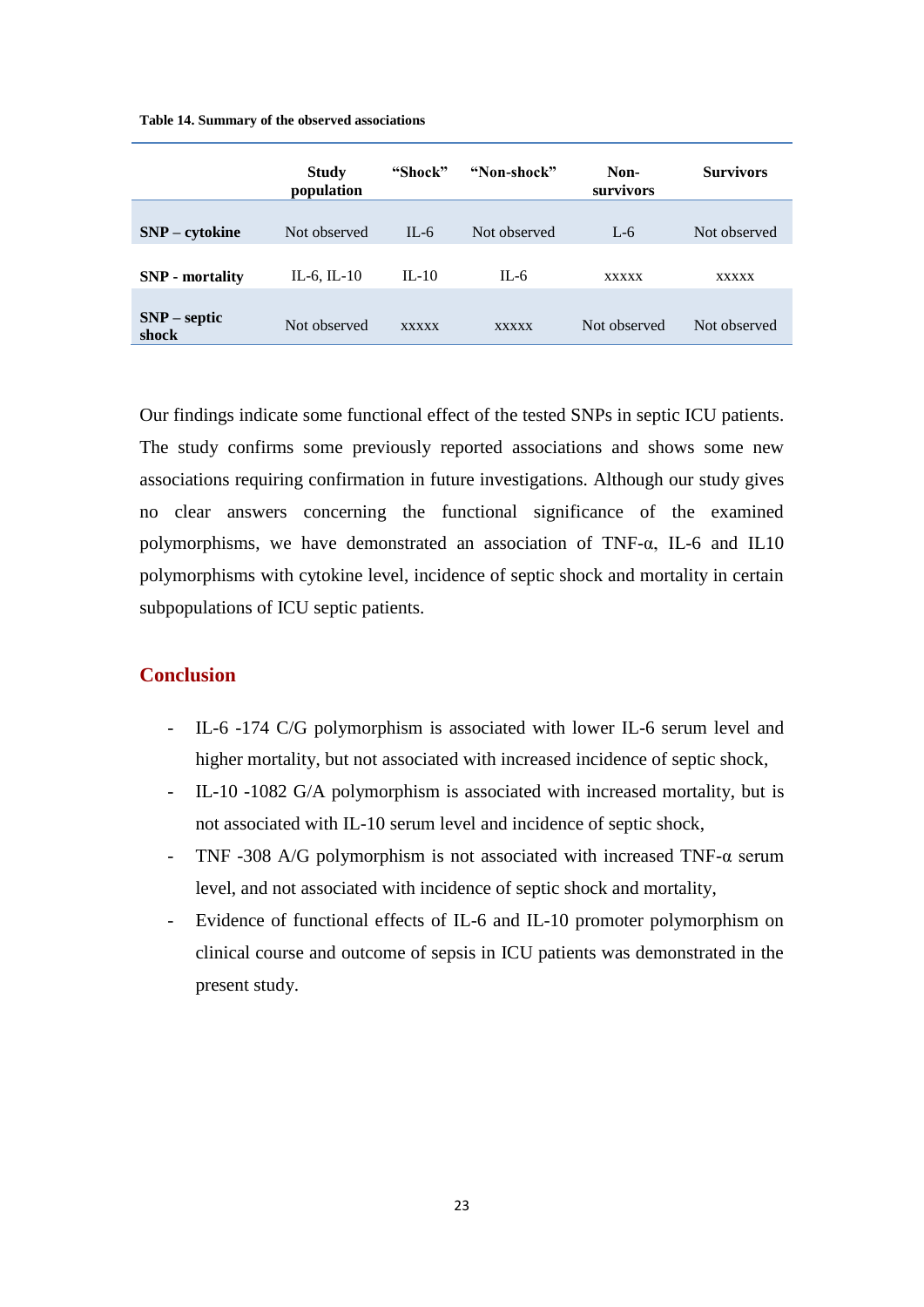#### **Table 14. Summary of the observed associations**

|                         | <b>Study</b><br>population | "Shock"      | "Non-shock"  | Non-<br>survivors | <b>Survivors</b> |
|-------------------------|----------------------------|--------------|--------------|-------------------|------------------|
| SNP – cytokine          | Not observed               | $IL-6$       | Not observed | $L-6$             | Not observed     |
| <b>SNP</b> - mortality  | IL-6, IL-10                | $IL-10$      | $IL-6$       | <b>XXXXX</b>      | <b>XXXXX</b>     |
| $SNP$ – septic<br>shock | Not observed               | <b>XXXXX</b> | <b>XXXXX</b> | Not observed      | Not observed     |

Our findings indicate some functional effect of the tested SNPs in septic ICU patients. The study confirms some previously reported associations and shows some new associations requiring confirmation in future investigations. Although our study gives no clear answers concerning the functional significance of the examined polymorphisms, we have demonstrated an association of TNF-α, IL-6 and IL10 polymorphisms with cytokine level, incidence of septic shock and mortality in certain subpopulations of ICU septic patients.

## **Conclusion**

- IL-6 -174 C/G polymorphism is associated with lower IL-6 serum level and higher mortality, but not associated with increased incidence of septic shock,
- IL-10 -1082 G/A polymorphism is associated with increased mortality, but is not associated with IL-10 serum level and incidence of septic shock,
- TNF -308 A/G polymorphism is not associated with increased TNF-α serum level, and not associated with incidence of septic shock and mortality,
- Evidence of functional effects of IL-6 and IL-10 promoter polymorphism on clinical course and outcome of sepsis in ICU patients was demonstrated in the present study.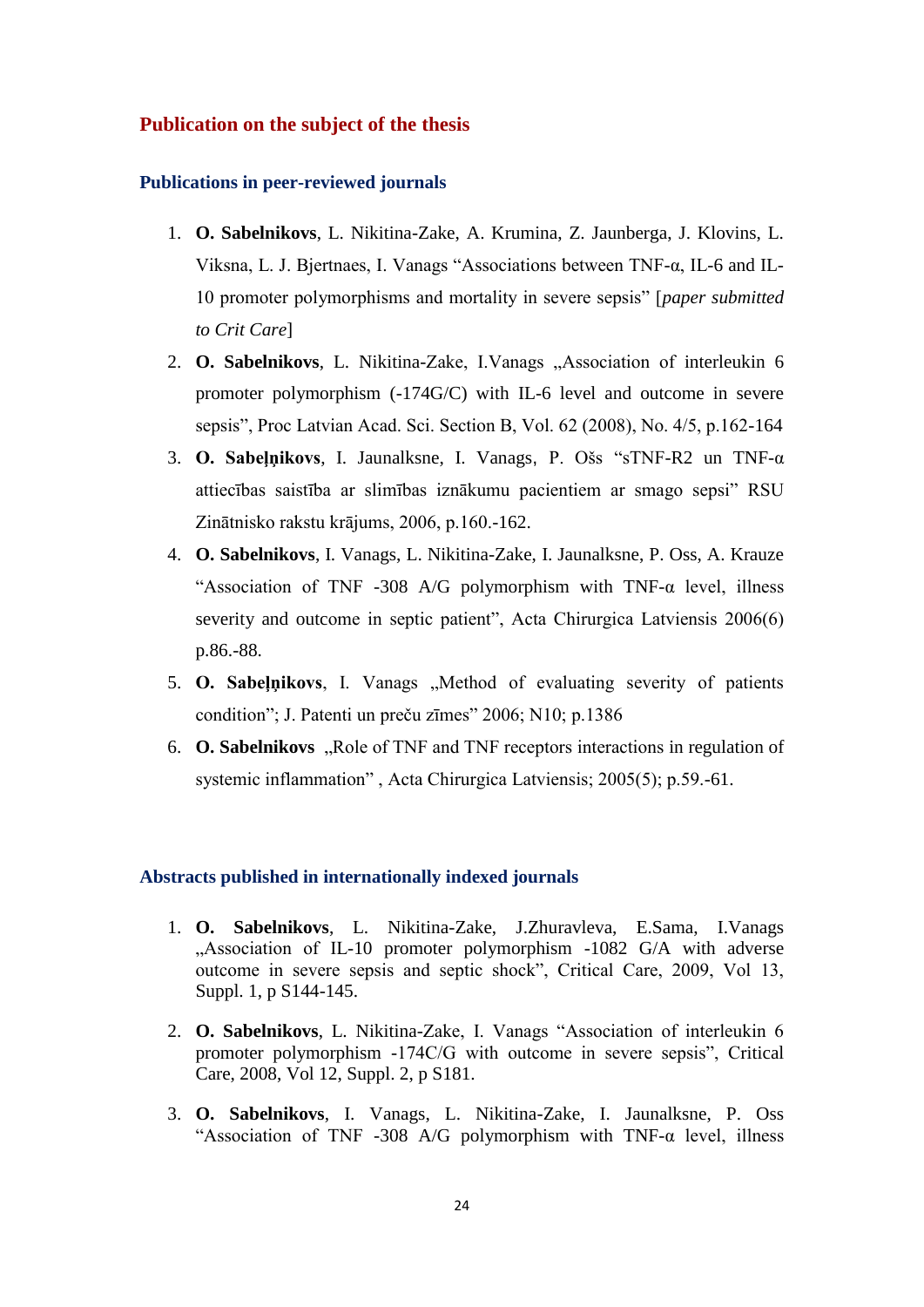## **Publication on the subject of the thesis**

#### **Publications in peer-reviewed journals**

- 1. **O. Sabelnikovs**, L. Nikitina-Zake, A. Krumina, Z. Jaunberga, J. Klovins, L. Viksna, L. J. Bjertnaes, I. Vanags "Associations between TNF-α, IL-6 and IL-10 promoter polymorphisms and mortality in severe sepsis" [*paper submitted to Crit Care*]
- 2. **O. Sabelnikovs**, L. Nikitina-Zake, I.Vanags "Association of interleukin 6 promoter polymorphism (-174G/C) with IL-6 level and outcome in severe sepsis", Proc Latvian Acad. Sci. Section B, Vol. 62 (2008), No. 4/5, p.162-164
- 3. **O. Sabeļņikovs**, I. Jaunalksne, I. Vanags, P. Ošs "sTNF-R2 un TNF-α attiecības saistība ar slimības iznākumu pacientiem ar smago sepsi" RSU Zinātnisko rakstu krājums, 2006, p.160.-162.
- 4. **O. Sabelnikovs**, I. Vanags, L. Nikitina-Zake, I. Jaunalksne, P. Oss, A. Krauze "Association of TNF -308 A/G polymorphism with TNF- $\alpha$  level, illness severity and outcome in septic patient", Acta Chirurgica Latviensis 2006(6) p.86.-88.
- 5. **O. Sabeļņikovs**, I. Vanags "Method of evaluating severity of patients condition"; J. Patenti un preču zīmes" 2006; N10; p.1386
- 6. **O. Sabelnikovs** "Role of TNF and TNF receptors interactions in regulation of systemic inflammation" , Acta Chirurgica Latviensis; 2005(5); p.59.-61.

#### **Abstracts published in internationally indexed journals**

- 1. **O. Sabelnikovs**, L. Nikitina-Zake, J.Zhuravleva, E.Sama, I.Vanags "Association of IL-10 promoter polymorphism -1082 G/A with adverse outcome in severe sepsis and septic shock", Critical Care, 2009, Vol 13, Suppl. 1, p S144-145.
- 2. **O. Sabelnikovs**, L. Nikitina-Zake, I. Vanags "Association of interleukin 6 promoter polymorphism -174C/G with outcome in severe sepsis", Critical Care, 2008, Vol 12, Suppl. 2, p S181.
- 3. **O. Sabelnikovs**, I. Vanags, L. Nikitina-Zake, I. Jaunalksne, P. Oss "Association of TNF -308 A/G polymorphism with TNF- $\alpha$  level, illness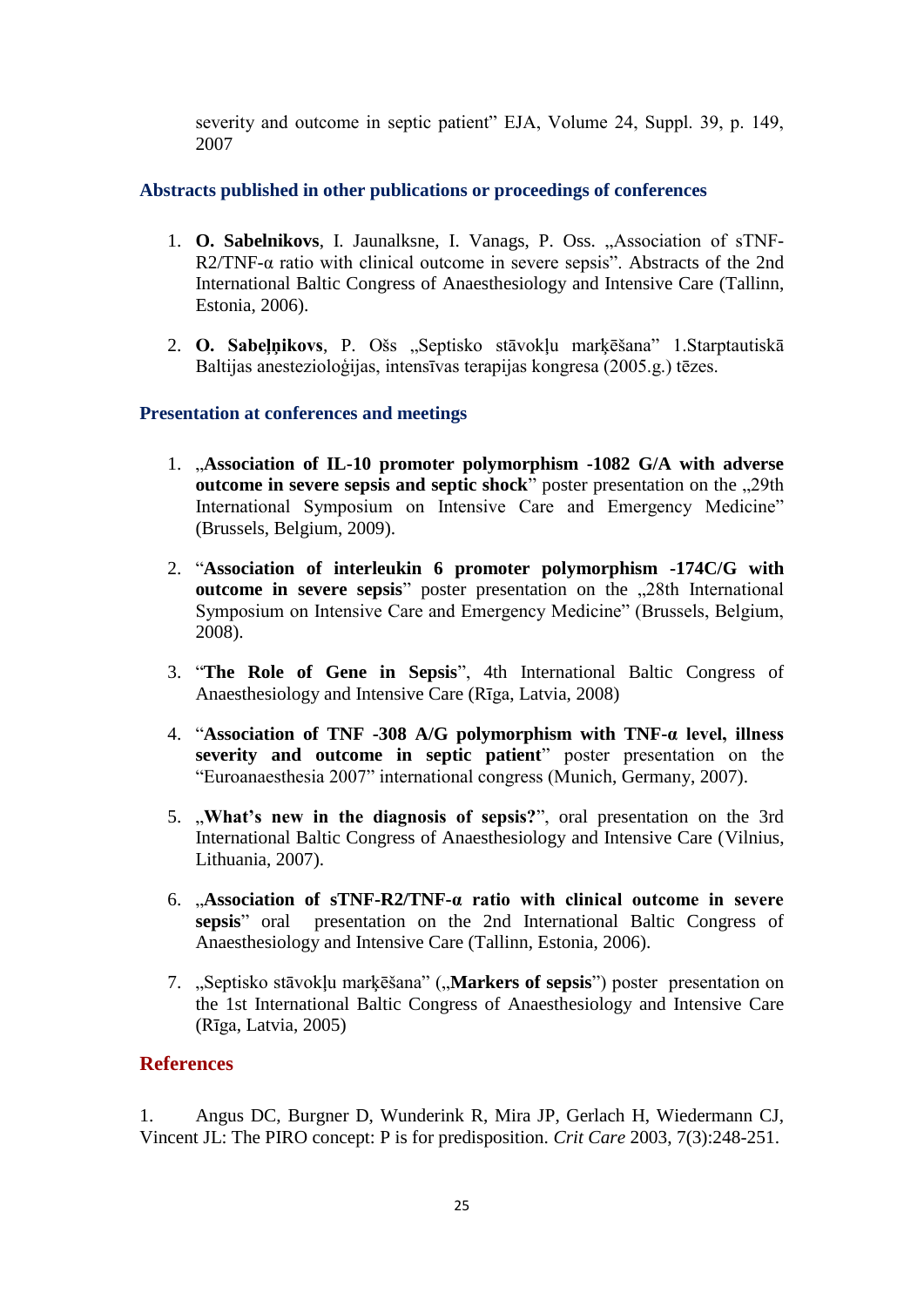severity and outcome in septic patient" EJA, Volume 24, Suppl. 39, p. 149, 2007

# **Abstracts published in other publications or proceedings of conferences**

- 1. **O. Sabelnikovs**, I. Jaunalksne, I. Vanags, P. Oss. "Association of sTNF-R2/TNF-α ratio with clinical outcome in severe sepsis". Abstracts of the 2nd International Baltic Congress of Anaesthesiology and Intensive Care (Tallinn, Estonia, 2006).
- 2. **O. Sabeļņikovs**, P. Ošs "Septisko stāvokļu marķēšana" 1.Starptautiskā Baltijas anestezioloģijas, intensīvas terapijas kongresa (2005.g.) tēzes.

# **Presentation at conferences and meetings**

- 1. "**Association of IL-10 promoter polymorphism -1082 G/A with adverse outcome in severe sepsis and septic shock**" poster presentation on the ..29th International Symposium on Intensive Care and Emergency Medicine" (Brussels, Belgium, 2009).
- 2. "**Association of interleukin 6 promoter polymorphism -174C/G with outcome in severe sepsis**" poster presentation on the ..28th International Symposium on Intensive Care and Emergency Medicine" (Brussels, Belgium, 2008).
- 3. "**The Role of Gene in Sepsis**", 4th International Baltic Congress of Anaesthesiology and Intensive Care (Rīga, Latvia, 2008)
- 4. "**Association of TNF -308 A/G polymorphism with TNF-α level, illness severity and outcome in septic patient**" poster presentation on the "Euroanaesthesia 2007" international congress (Munich, Germany, 2007).
- 5. "**What's new in the diagnosis of sepsis?**", oral presentation on the 3rd International Baltic Congress of Anaesthesiology and Intensive Care (Vilnius, Lithuania, 2007).
- 6. "**Association of sTNF-R2/TNF-α ratio with clinical outcome in severe sepsis**" oral presentation on the 2nd International Baltic Congress of Anaesthesiology and Intensive Care (Tallinn, Estonia, 2006).
- 7. "Septisko stāvokļu marķēšana" ("**Markers of sepsis**") poster presentation on the 1st International Baltic Congress of Anaesthesiology and Intensive Care (Rīga, Latvia, 2005)

# **References**

1. Angus DC, Burgner D, Wunderink R, Mira JP, Gerlach H, Wiedermann CJ, Vincent JL: The PIRO concept: P is for predisposition. *Crit Care* 2003, 7(3):248-251.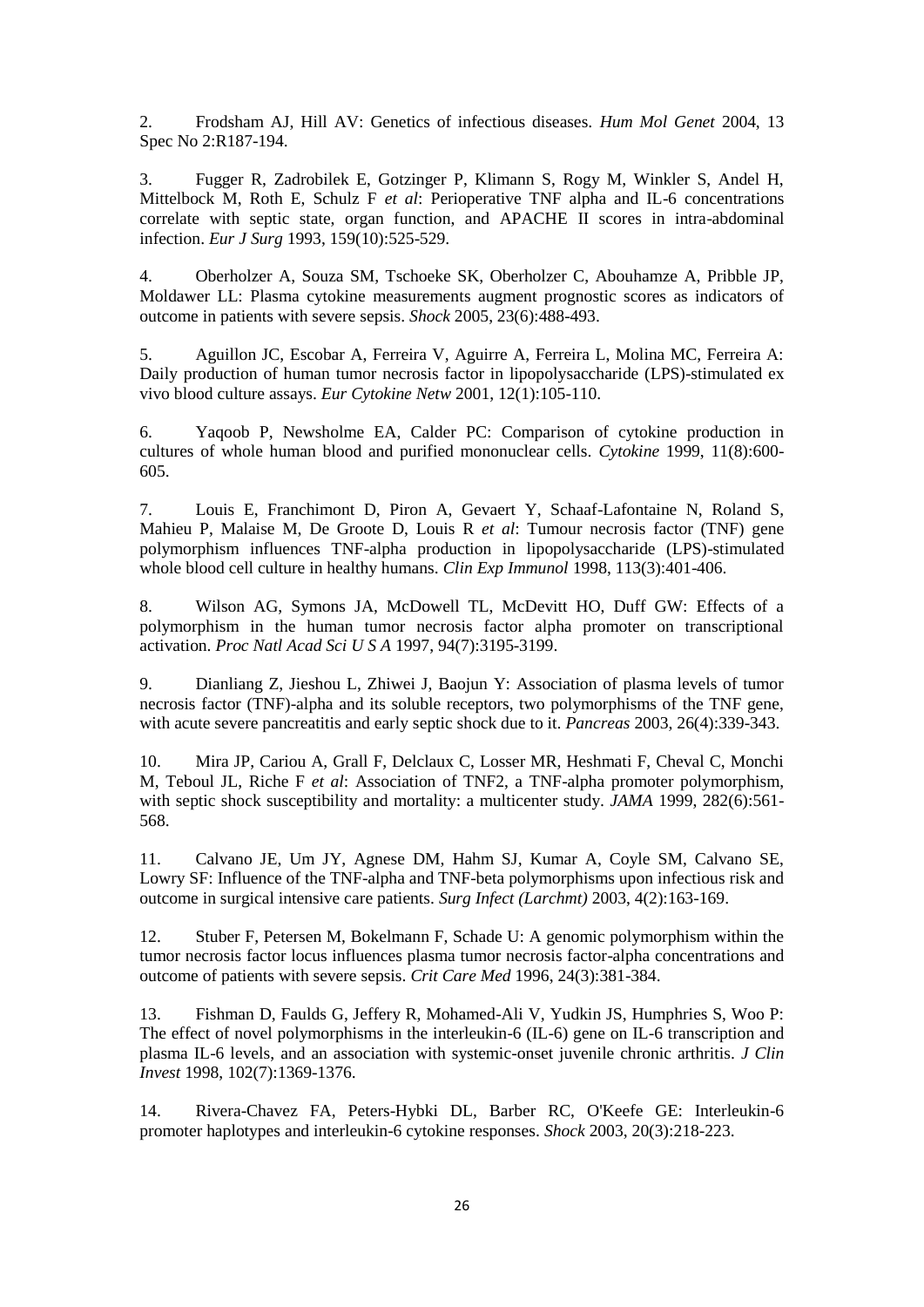2. Frodsham AJ, Hill AV: Genetics of infectious diseases. *Hum Mol Genet* 2004, 13 Spec No 2:R187-194.

3. Fugger R, Zadrobilek E, Gotzinger P, Klimann S, Rogy M, Winkler S, Andel H, Mittelbock M, Roth E, Schulz F *et al*: Perioperative TNF alpha and IL-6 concentrations correlate with septic state, organ function, and APACHE II scores in intra-abdominal infection. *Eur J Surg* 1993, 159(10):525-529.

4. Oberholzer A, Souza SM, Tschoeke SK, Oberholzer C, Abouhamze A, Pribble JP, Moldawer LL: Plasma cytokine measurements augment prognostic scores as indicators of outcome in patients with severe sepsis. *Shock* 2005, 23(6):488-493.

5. Aguillon JC, Escobar A, Ferreira V, Aguirre A, Ferreira L, Molina MC, Ferreira A: Daily production of human tumor necrosis factor in lipopolysaccharide (LPS)-stimulated ex vivo blood culture assays. *Eur Cytokine Netw* 2001, 12(1):105-110.

6. Yaqoob P, Newsholme EA, Calder PC: Comparison of cytokine production in cultures of whole human blood and purified mononuclear cells. *Cytokine* 1999, 11(8):600- 605.

7. Louis E, Franchimont D, Piron A, Gevaert Y, Schaaf-Lafontaine N, Roland S, Mahieu P, Malaise M, De Groote D, Louis R *et al*: Tumour necrosis factor (TNF) gene polymorphism influences TNF-alpha production in lipopolysaccharide (LPS)-stimulated whole blood cell culture in healthy humans. *Clin Exp Immunol* 1998, 113(3):401-406.

8. Wilson AG, Symons JA, McDowell TL, McDevitt HO, Duff GW: Effects of a polymorphism in the human tumor necrosis factor alpha promoter on transcriptional activation. *Proc Natl Acad Sci U S A* 1997, 94(7):3195-3199.

9. Dianliang Z, Jieshou L, Zhiwei J, Baojun Y: Association of plasma levels of tumor necrosis factor (TNF)-alpha and its soluble receptors, two polymorphisms of the TNF gene, with acute severe pancreatitis and early septic shock due to it. *Pancreas* 2003, 26(4):339-343.

10. Mira JP, Cariou A, Grall F, Delclaux C, Losser MR, Heshmati F, Cheval C, Monchi M, Teboul JL, Riche F *et al*: Association of TNF2, a TNF-alpha promoter polymorphism, with septic shock susceptibility and mortality: a multicenter study. *JAMA* 1999, 282(6):561-568.

11. Calvano JE, Um JY, Agnese DM, Hahm SJ, Kumar A, Coyle SM, Calvano SE, Lowry SF: Influence of the TNF-alpha and TNF-beta polymorphisms upon infectious risk and outcome in surgical intensive care patients. *Surg Infect (Larchmt)* 2003, 4(2):163-169.

12. Stuber F, Petersen M, Bokelmann F, Schade U: A genomic polymorphism within the tumor necrosis factor locus influences plasma tumor necrosis factor-alpha concentrations and outcome of patients with severe sepsis. *Crit Care Med* 1996, 24(3):381-384.

13. Fishman D, Faulds G, Jeffery R, Mohamed-Ali V, Yudkin JS, Humphries S, Woo P: The effect of novel polymorphisms in the interleukin-6 (IL-6) gene on IL-6 transcription and plasma IL-6 levels, and an association with systemic-onset juvenile chronic arthritis. *J Clin Invest* 1998, 102(7):1369-1376.

14. Rivera-Chavez FA, Peters-Hybki DL, Barber RC, O'Keefe GE: Interleukin-6 promoter haplotypes and interleukin-6 cytokine responses. *Shock* 2003, 20(3):218-223.